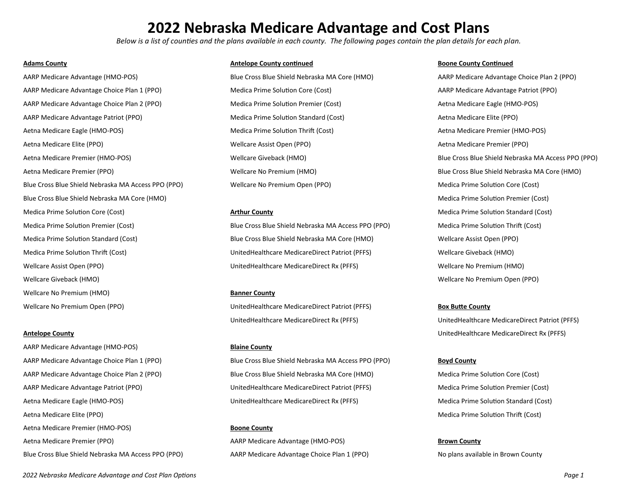# **2022 Nebraska Medicare Advantage and Cost Plans**

*Below is a list of counties and the plans available in each county. The following pages contain the plan details for each plan.*

AARP Medicare Advantage (HMO-POS) Blue Cross Blue Shield Nebraska MA Core (HMO) AARP Medicare Advantage Choice Plan 2 (PPO) AARP Medicare Advantage Choice Plan 1 (PPO) Medica Prime Solution Core (Cost) AARP Medicare Advantage Patriot (PPO) AARP Medicare Advantage Choice Plan 2 (PPO) Medica Prime Solution Premier (Cost) Aetha Medicare Eagle (HMO-POS) AARP Medicare Advantage Patriot (PPO) **Medica Prime Solution Standard (Cost)** Aetna Medicare Elite (PPO) Aetna Medicare Elite (PPO) Aetna Medicare Eagle (HMO-POS) and Medica Prime Solution Thrift (Cost) and Medicare Premier (HMO-POS) Aetna Medicare Premier (HMO-POS) Aetna Medicare Elite (PPO) **Medicare Clube Clube Clube Clube Clube Clube Clube Clube Clube Clube Clube Clube Clube Clube Clube Clube Clube Clube Clube Clube Clube Clube Clube Clube Clube Clube Clube Clube Clube Clube Clube** Aetna Medicare Premier (PPO) Wellcare No Premium (HMO) Blue Cross Blue Shield Nebraska MA Core (HMO) Blue Cross Blue Shield Nebraska MA Access PPO (PPO) Wellcare No Premium Open (PPO) Medica Prime Solution Core (Cost) Blue Cross Blue Shield Nebraska MA Core (HMO) and the Material Shield Area and the Medica Prime Solution Premier (Cost) Medica Prime Solution Core (Cost) **Arthur County Arthur County Arthur County Medica Prime Solution Standard (Cost)** Wellcare Giveback (HMO) Notable 1999 and the US of the Most of the Wellcare No Premium Open (PPO) Wellcare No Premium (HMO) **Banner County** Wellcare No Premium Open (PPO) **Notably 20 and Separate** UnitedHealthcare MedicareDirect Patriot (PFFS) **Box Butte County** 

AARP Medicare Advantage (HMO-POS) **Blaine County** Aetna Medicare Elite (PPO) and the settle of the settle of the settle of the solution Thrift (Cost) and the solution Thrift (Cost) Aetna Medicare Premier (HMO-POS) **Boone County** Aetna Medicare Premier (PPO) **AARP Medicare Advantage (HMO-POS) Brown County Brown County** Blue Cross Blue Shield Nebraska MA Access PPO (PPO) AARP Medicare Advantage Choice Plan 1 (PPO) No plans available in Brown County

## **Adams County Antelope County continued Boone County Continued**

Medica Prime Solution Premier (Cost) **Blue Cross Blue Shield Nebraska MA Access PPO (PPO)** Medica Prime Solution Thrift (Cost) Medica Prime Solution Standard (Cost) **Blue Cross Blue Shield Nebraska MA Core (HMO)** Wellcare Assist Open (PPO) Medica Prime Solution Thrift (Cost) UnitedHealthcare MedicareDirect Patriot (PFFS) Wellcare Giveback (HMO) Wellcare Assist Open (PPO) 
UnitedHealthcare MedicareDirect Rx (PFFS)

UnitedHealthcare MedicareDirect Rx (PFFS)

UnitedHealthcare MedicareDirect Rx (PFFS)

UnitedHealthcare MedicareDirect Rx (PFFS)

UnitedHealthcare MedicareDirect Rx (PFFS) UnitedHealthcare MedicareDirect Patriot (PFFS)

AARP Medicare Advantage Choice Plan 1 (PPO) **Blue Cross Blue Cross Blue Shield Nebraska MA Access PPO (PPO) Boyd County** AARP Medicare Advantage Choice Plan 2 (PPO) Blue Cross Blue Shield Nebraska MA Core (HMO) Medica Prime Solution Core (Cost) AARP Medicare Advantage Patriot (PPO) entitled the UnitedHealthcare MedicareDirect Patriot (PFFS) Medica Prime Solution Premier (Cost) Aetna Medicare Eagle (HMO-POS) **Network Constructs Constructs UnitedHealthcare MedicareDirect Rx (PFFS)** Medica Prime Solution Standard (Cost)

Aetna Medicare Premier (HMO-POS) Notally and Medicare Giveback (HMO) Nebraska MA Access PRO (PPO (PPO) Nebraska MA Access PPO (PPO)

**Antelope County** Countries and the UnitedHealthcare MedicareDirect Rx (PFFS)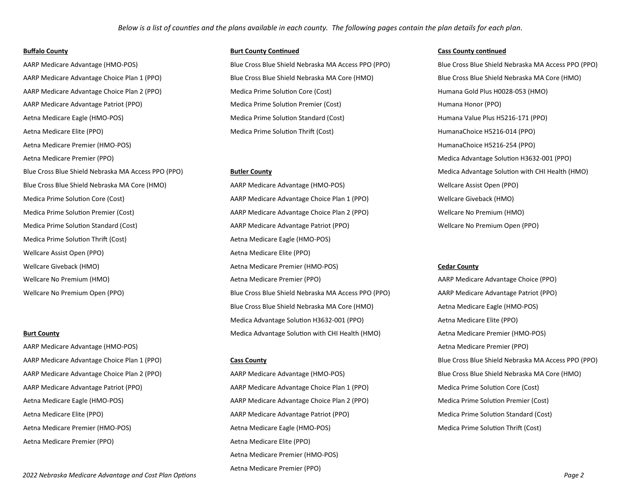Aetna Medicare Premier (HMO-POS) and the extension of the extension of the extendio of the extendio of the extendio of the extendio of the extendio of the extendio of the extendio of the extendio of the extendio of the ext Aetna Medicare Premier (PPO) and the extra medical Advantage Solution H3632-001 (PPO) and the extra medica Advantage Solution H3632-001 (PPO) Blue Cross Blue Shield Nebraska MA Core (HMO)  $\blacksquare$  AARP Medicare Advantage (HMO-POS) Wellcare Assist Open (PPO) Medica Prime Solution Thrift (Cost) Aetna Medicare Eagle (HMO-POS) Wellcare Assist Open (PPO)  $\overline{P}$  Aetna Medicare Elite (PPO)

AARP Medicare Advantage (HMO-POS) and the extra medicare Premier (PPO) and Aetna Medicare Premier (PPO) and Aetna Medicare Premier (PPO) Aetna Medicare Premier (PPO) and Aetna Medicare Elite (PPO) and Aetna Medicare Elite (PPO)

## **Buffalo County Burt County Continued Cass County continued**

AARP Medicare Advantage (HMO-POS) Blue Cross Blue Shield Nebraska MA Access PPO (PPO) Blue Cross Blue Shield Nebraska MA Access PPO (PPO) AARP Medicare Advantage Choice Plan 1 (PPO) Blue Cross Blue Shield Nebraska MA Core (HMO) Blue Cross Blue Shield Nebraska MA Core (HMO) AARP Medicare Advantage Choice Plan 2 (PPO) Medica Prime Solution Core (Cost) Medicare Mumana Gold Plus H0028-053 (HMO) AARP Medicare Advantage Patriot (PPO) Medica Prime Solution Premier (Cost) Medica Prime Solution Premier (Cost) Aetna Medicare Eagle (HMO-POS) **Medica Prime Solution Standard (Cost)** Humana Value Plus H5216-171 (PPO) Aetna Medicare Elite (PPO) **Medicare Elite (PPO)** Medica Prime Solution Thrift (Cost) **Active Active Active HTS216-014** (PPO)

Medica Prime Solution Core (Cost) AARP Medicare Advantage Choice Plan 1 (PPO) Wellcare Giveback (HMO) Medica Prime Solution Premier (Cost)  $AARP$  Medicare Advantage Choice Plan 2 (PPO) Wellcare No Premium (HMO) Medica Prime Solution Standard (Cost) **AARP Medicare Advantage Patriot (PPO)** Wellcare No Premium Open (PPO) Wellcare Giveback (HMO) Aetna Medicare Premier (HMO-POS) **Cedar County** Wellcare No Premium (HMO) Notably and Actribution Aetro Aetro Medicare Premier (PPO) Network and AARP Medicare Advantage Choice (PPO) Wellcare No Premium Open (PPO) **Blue Cross Blue Cross Blue Shield Nebraska MA Access PPO (PPO)** AARP Medicare Advantage Patriot (PPO) Blue Cross Blue Shield Nebraska MA Core (HMO) Aetna Medicare Eagle (HMO-POS) Medica Advantage Solution H3632-001 (PPO) Aetna Medicare Elite (PPO) **Burt County Burt County Medica Advantage Solution with CHI Health (HMO)** Aetna Medicare Premier (HMO-POS)

AARP Medicare Advantage Patriot (PPO) **AARP Medicare Advantage Choice Plan 1 (PPO)** Medica Prime Solution Core (Cost) Aetna Medicare Eagle (HMO-POS) **AARP Medicare Advantage Choice Plan 2** (PPO) Medica Prime Solution Premier (Cost) Aetna Medicare Elite (PPO) **Access 20 ACCESS ACCESS ARRICALES ARGUSTER** Advantage Patriot (PPO) **ACCESS AND Medica Prime Solution Standard (Cost)** Aetna Medicare Premier (HMO-POS) and Aetha Medicare Eagle (HMO-POS) and Aetha Medicare Eagle (HMO-POS) and Medica Prime Solution Thrift (Cost) Aetna Medicare Premier (HMO-POS) Aetna Medicare Premier (PPO)

Blue Cross Blue Shield Nebraska MA Access PPO (PPO) **Butler County Butler County Butler County Butler County Medica Advantage Solution with CHI Health (HMO)** 

AARP Medicare Advantage Choice Plan 1 (PPO) **Cass County Cass County Case County** Blue Cross Blue Cross Blue Shield Nebraska MA Access PPO (PPO) AARP Medicare Advantage Choice Plan 2 (PPO)  $\blacksquare$  AARP Medicare Advantage (HMO-POS) Blue Cross Blue Shield Nebraska MA Core (HMO)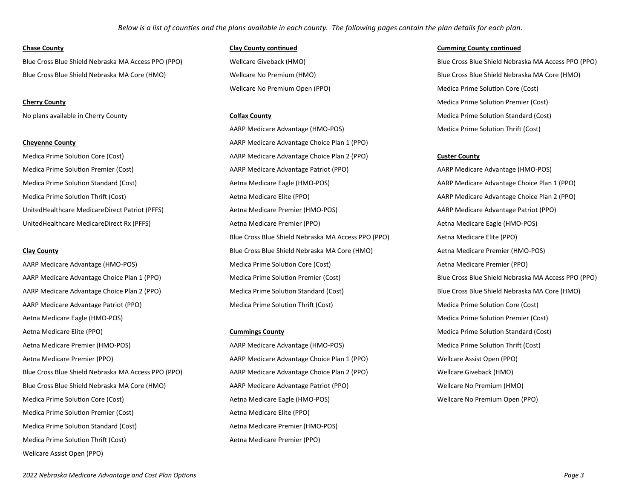Blue Cross Blue Shield Nebraska MA Access PPO (PPO) Wellcare Giveback (HMO) Blue Cross Blue Shield Nebraska MA Access PPO (PPO) Blue Cross Blue Shield Nebraska MA Core (HMO) Wellcare No Premium (HMO) Blue Cross Blue Shield Nebraska MA Core (HMO)

Aetna Medicare Eagle (HMO-POS) and the second term in the solution Premier (Cost) and Medica Prime Solution Premier (Cost) Aetna Medicare Elite (PPO) **Cummings County Cummings County Cummings County** Medica Prime Solution Standard (Cost) Aetna Medicare Premier (HMO-POS) **AARP Medicare Advantage (HMO-POS)** Medica Prime Solution Thrift (Cost) ARRP Medicare Advantage (HMO-POS) Aetna Medicare Premier (PPO) and the Choicare Advantage Choice Plan 1 (PPO) and the Medicare Assist Open (PPO) Blue Cross Blue Shield Nebraska MA Access PPO (PPO)  $A$ ARP Medicare Advantage Choice Plan 2 (PPO) Wellcare Giveback (HMO) Blue Cross Blue Shield Nebraska MA Core (HMO) **AARP Medicare Advantage Patriot (PPO)** Wellcare No Premium (HMO) **Wellcare No Premium (HMO)** Medica Prime Solution Core (Cost) The Solution Core (Cost) Aetna Medicare Eagle (HMO-POS) Wellcare No Premium Open (PPO) Medica Prime Solution Premier (Cost) Medicare Elite (PPO) Medica Prime Solution Standard (Cost) Aetna Medicare Premier (HMO-POS) Medica Prime Solution Thrift (Cost) Aetna Medicare Premier (PPO) Wellcare Assist Open (PPO)

AARP Medicare Advantage (HMO-POS) Medica Prime Solution Thrift (Cost) **Cheyenne County Cheyenne County Cheyenne County Cheyenne County AARP** Medicare Advantage Choice Plan 1 (PPO) Medica Prime Solution Core (Cost) **AARP Medicare Advantage Choice Plan 2 (PPO) Custer County Custer County** Medica Prime Solution Premier (Cost) AARP Medicare Advantage Patriot (PPO) AARP Medicare Advantage (HMO-POS) Medica Prime Solution Standard (Cost)  $\blacksquare$  Aetna Medicare Eagle (HMO-POS)  $\blacksquare$  AARP Medicare Advantage Choice Plan 1 (PPO) Medica Prime Solution Thrift (Cost)  $\blacksquare$  Aetna Medicare Elite (PPO)  $\blacksquare$  AARP Medicare Advantage Choice Plan 2 (PPO) UnitedHealthcare MedicareDirect Patriot (PFFS) Aetna Medicare Premier (HMO-POS) AARP Medicare Advantage Patriot (PPO) UnitedHealthcare MedicareDirect Rx (PFFS)  $\blacksquare$  Aetna Medicare Premier (PPO)  $\blacksquare$  Aetna Medicare Eagle (HMO-POS) Blue Cross Blue Shield Nebraska MA Access PPO (PPO) Aetna Medicare Elite (PPO) **Clay County Clay County Blue Cross Blue Cross Blue Shield Nebraska MA Core (HMO) Aetna Medicare Premier (HMO-POS)** AARP Medicare Advantage (HMO-POS) Medicare Medica Prime Solution Core (Cost) Aetna Medicare Premier (PPO) Aetna Medicare Premier (PPO) AARP Medicare Advantage Choice Plan 1 (PPO) Medica Prime Solution Premier (Cost) Blue Cross Blue Shield Nebraska MA Access PPO (PPO) AARP Medicare Advantage Choice Plan 2 (PPO) Medica Prime Solution Standard (Cost) Blue Cross Blue Shield Nebraska MA Core (HMO) AARP Medicare Advantage Patriot (PPO) **Medica Prime Solution Thrift (Cost)** Medica Prime Solution Core (Cost)

## **Chase County Clay County continued Cumming County continued**

Wellcare No Premium Open (PPO) Medica Prime Solution Core (Cost) **Cherry County** Medica Prime Solution Premier (Cost) No plans available in Cherry County **Colfax County Colfax County Colfax County Colfax County Colfax County Colfax County Colfax County Colfax County Colfax County Colfax County Colfax County Colfax Co**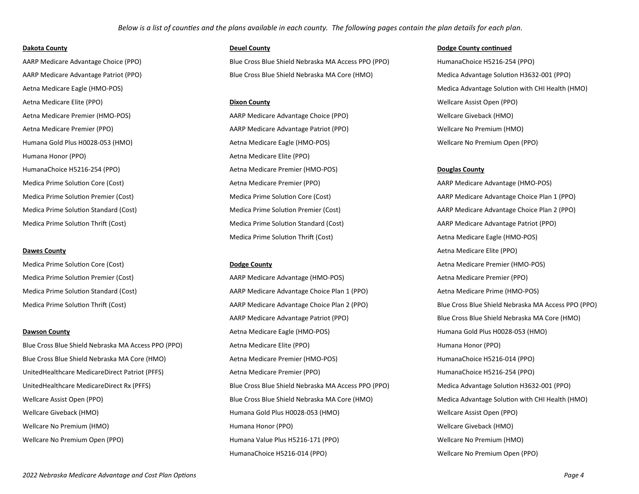Aetna Medicare Elite (PPO) **Dixon County** Wellcare Assist Open (PPO) Aetna Medicare Premier (HMO-POS) and the Medicare Advantage Choice (PPO) and the Medicare Giveback (HMO) ARRP Medicare Advantage Choice (PPO) and the Wellcare Giveback (HMO) Humana Honor (PPO) Aetna Medicare Elite (PPO)

Medica Prime Solution Core (Cost) **Details and Content Content Content Content Content Content Content Content Content Content Content Content Content Content Content Content Content Content Content Content Content Content** 

AARP Medicare Advantage Choice (PPO) Blue Cross Blue Shield Nebraska MA Access PPO (PPO) HumanaChoice H5216-254 (PPO) AARP Medicare Advantage Patriot (PPO) entitled and the Cross Blue Cross Blue Shield Nebraska MA Core (HMO) and Medica Advantage Solution H3632-001 (PPO)

Aetna Medicare Premier (PPO) and the Medicare Advantage Patriot (PPO) and the Medicare No Premium (HMO) example the Medicare Advantage Patriot (PPO) and the Wellcare No Premium (HMO) Humana Gold Plus H0028-053 (HMO) **Authority Actional Medicare Eagle (HMO-POS**) **Aetha Medicare No Premium Open (PPO)** Mellcare No Premium Open (PPO) HumanaChoice H5216-254 (PPO) **Aetna Medicare Premier (HMO-POS) County Douglas County Douglas County Douglas County** Medica Prime Solution Core (Cost) **Actrica Actrica Medicare Premier (PPO)** AARP Medicare Advantage (HMO-POS) Medica Prime Solution Thrift (Cost) Medica Prime Solution Standard (Cost) AARP Medicare Advantage Patriot (PPO) Medica Prime Solution Thrift (Cost) And Actributed Aetna Medicare Eagle (HMO-POS)

Medica Prime Solution Premier (Cost)  $A$ ARP Medicare Advantage (HMO-POS)  $A$ etna Medicare Premier (PPO) Medica Prime Solution Standard (Cost) Medicare Advantage Choice Plan 1 (PPO) Aetna Medicare Prime (HMO-POS) AARP Medicare Advantage Patriot (PPO) Blue Cross Blue Shield Nebraska MA Core (HMO) Dawson County **Agent County** Aetna Medicare Eagle (HMO-POS) **Active Active Active Active Active Active Active Active Active Active Active Active Active Active Active Active Active Active Active Active Active Active Active** Blue Cross Blue Shield Nebraska MA Access PPO (PPO)  $\blacksquare$  Aetna Medicare Elite (PPO)  $\blacksquare$  Humana Honor (PPO) Blue Cross Blue Shield Nebraska MA Core (HMO) **Aetna Medicare Premier (HMO-POS)** HumanaChoice H5216-014 (PPO) UnitedHealthcare MedicareDirect Patriot (PFFS)  $\blacksquare$  Aetna Medicare Premier (PPO)  $\blacksquare$  HumanaChoice H5216-254 (PPO) UnitedHealthcare MedicareDirect Rx (PFFS) Blue Cross Blue Shield Nebraska MA Access PPO (PPO) Medica Advantage Solution H3632-001 (PPO) Wellcare Assist Open (PPO) **Blue Cross Blue Shield Nebraska MA Core (HMO)** Medica Advantage Solution with CHI Health (HMO) Wellcare Giveback (HMO) **Humana Gold Plus H0028-053 (HMO)** Mellcare Assist Open (PPO) Wellcare Assist Open (PPO) Wellcare No Premium (HMO) **Humana Honor (PPO)** (PPO) **Wellcare Giveback (HMO)** Wellcare Giveback (HMO) Wellcare No Premium Open (PPO) The Mumana Value Plus H5216-171 (PPO) Nellcare No Premium (HMO) Wellcare No Premium (HMO) HumanaChoice H5216-014 (PPO) Wellcare No Premium Open (PPO)

## **Dakota County Deuel County Dodge County continued**

Aetna Medicare Eagle (HMO-POS) and the Medica Advantage Solution with CHI Health (HMO)

Medica Prime Solution Premier (Cost) Medica Prime Solution Core (Cost) AARP Medicare Advantage Choice Plan 1 (PPO) Medica Prime Solution Standard (Cost) Medica Prime Solution Premier (Cost) AARP Medicare Advantage Choice Plan 2 (PPO) **Dawes County Aetna Medicare Elite (PPO) Dawes County Aetna Medicare Elite (PPO)** Medica Prime Solution Thrift (Cost) **AARP Medicare Advantage Choice Plan 2 (PPO)** Blue Cross Blue Shield Nebraska MA Access PPO (PPO)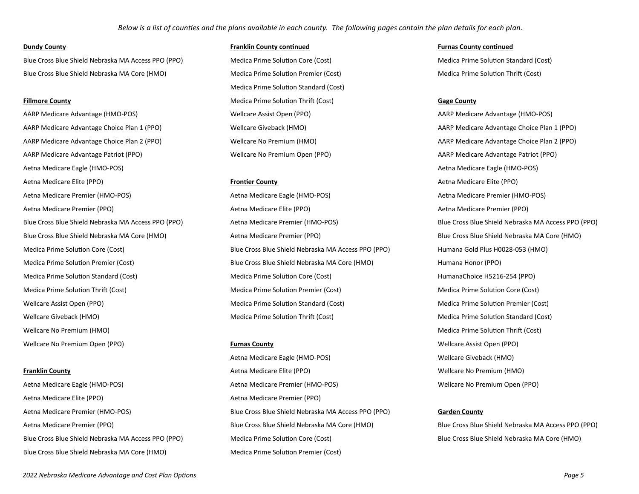Blue Cross Blue Shield Nebraska MA Access PPO (PPO) Medica Prime Solution Core (Cost) Medica Prime Solution Standard (Cost) Blue Cross Blue Shield Nebraska MA Core (HMO) Medica Prime Solution Premier (Cost) Medica Prime Solution Thrift (Cost)

AARP Medicare Advantage Choice Plan 1 (PPO) Wellcare Giveback (HMO) AARP Medicare Advantage Choice Plan 1 (PPO) AARP Medicare Advantage Choice Plan 2 (PPO) Wellcare No Premium (HMO) AARP Medicare Advantage Choice Plan 2 (PPO) AARP Medicare Advantage Patriot (PPO) Wellcare No Premium Open (PPO) AARP Medicare Advantage Patriot (PPO) Aetna Medicare Eagle (HMO-POS) and a series and a series are a series and a series and are series and a series and a series and a series and a series and a series are series and a series and a series are series and a serie Aetna Medicare Elite (PPO) **Frontier County Frontier County Aetna Medicare Elite (PPO)** Aetna Medicare Elite (PPO) Wellcare No Premium (HMO) **Medica Prime Solution Thrift (Cost)** Medica Prime Solution Thrift (Cost) Wellcare No Premium Open (PPO) **Furnas County** Wellcare Assist Open (PPO)

Aetna Medicare Elite (PPO) and Aetna Medicare Premier (PPO) and Aetna Medicare Premier (PPO) Blue Cross Blue Shield Nebraska MA Core (HMO) Medica Prime Solution Premier (Cost)

## **Dundy County Franklin County continued Furnas County continued**

Medica Prime Solution Standard (Cost) **Fillmore County Gage County Medica Prime Solution Thrift (Cost) Gage County** AARP Medicare Advantage (HMO-POS) **Wellcare Assist Open (PPO)** AARP Medicare Advantage (HMO-POS)

Aetna Medicare Premier (HMO-POS) Aetna Medicare Eagle (HMO-POS) Aetna Medicare Premier (HMO-POS) Aetna Medicare Premier (PPO) and Aetna Medicare Elite (PPO) and Aetna Medicare Premier (PPO) and Aetna Medicare Premier (PPO) Blue Cross Blue Shield Nebraska MA Access PPO (PPO) and Aetha Medicare Premier (HMO-POS) Blue Cross Blue Cross Blue Shield Nebraska MA Access PPO (PPO) Blue Cross Blue Shield Nebraska MA Core (HMO) **Aetna Medicare Premier (PPO)** Blue Cross Blue Shield Nebraska MA Core (HMO) **Blue Cross Blue Shield Nebraska MA Core (HMO**) Medica Prime Solution Core (Cost) **Blue Cross Blue Cross Blue Shield Nebraska MA Access PPO (PPO)** Humana Gold Plus H0028-053 (HMO) Medica Prime Solution Premier (Cost) The Solution Premier (Cost) Blue Cross Blue Shield Nebraska MA Core (HMO) Humana Honor (PPO) Medica Prime Solution Standard (Cost) The Medica Prime Solution Core (Cost) The Medica Prime Solution Core (Cost) Medica Prime Solution Thrift (Cost) **Medica Prime Solution Premier (Cost)** Medica Prime Solution Core (Cost) Medica Prime Solution Core (Cost) Wellcare Assist Open (PPO) **Medica Prime Solution Standard (Cost)** Medica Prime Solution Premier (Cost) Medica Prime Solution Premier (Cost) Wellcare Giveback (HMO) Medicare Medica Prime Solution Thrift (Cost) Medica Prime Solution Standard (Cost)

Aetna Medicare Eagle (HMO-POS) Medicare Giveback (HMO) **Franklin County Aetha Medicare Elite (PPO) Atta Agencies Active Active Active Active Active Active Active Active Active Active Active Active Active Active Active Active Active Active Active Active Active Active Active** Aetna Medicare Eagle (HMO-POS) **Aetna Medicare Premier (HMO-POS)** and Medicare Premier (HMO-POS) **Aetna Medicare No Premium Open (PPO)** Aetna Medicare Premier (HMO-POS) Blue Cross Blue Shield Nebraska MA Access PPO (PPO) **Garden County** Aetna Medicare Premier (PPO) **Blue Shield Nebraska MA Core (HMO)** Blue Cross Blue Shield Nebraska MA Access PPO (PPO) Blue Cross Blue Shield Nebraska MA Access PPO (PPO) Medica Prime Solution Core (Cost) Blue Cross Blue Cross Blue Shield Nebraska MA Core (HMO)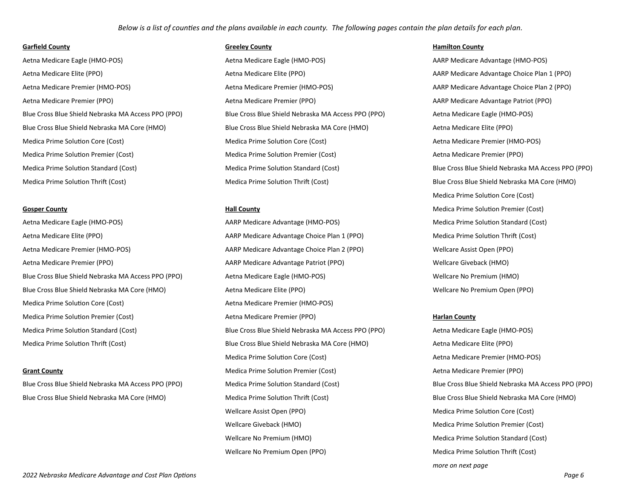Medica Prime Solution Core (Cost) Aetna Medicare Premier (HMO-POS)

Blue Cross Blue Shield Nebraska MA Access PPO (PPO) Medica Prime Solution Standard (Cost) Blue Cross Blue Shield Nebraska MA Access PPO (PPO) Blue Cross Blue Shield Nebraska MA Core (HMO) **Medica Prime Solution Thrift (Cost)** Blue Cross Blue Cross Blue Shield Nebraska MA Core (HMO)

Aetna Medicare Eagle (HMO-POS) Aetna Medicare Eagle (HMO-POS) AARP Medicare Advantage (HMO-POS) Aetna Medicare Elite (PPO) and Aetna Medicare Elite (PPO) and AARP Medicare Advantage Choice Plan 1 (PPO) AARP Medicare Advantage Choice Plan 1 (PPO) Aetna Medicare Premier (HMO-POS) Aetna Medicare Premier (HMO-POS) AARP Medicare Advantage Choice Plan 2 (PPO) Aetna Medicare Premier (PPO) Aetna Medicare Premier (PPO) AARP Medicare Advantage Patriot (PPO) Blue Cross Blue Shield Nebraska MA Access PPO (PPO) Blue Cross Blue Shield Nebraska MA Access PPO (PPO) Aetna Medicare Eagle (HMO-POS) Blue Cross Blue Shield Nebraska MA Core (HMO) Blue Cross Blue Cross Blue Shield Nebraska MA Core (HMO) Aetna Medicare Elite (PPO) Medica Prime Solution Core (Cost) **Medica Prime Solution Core (Cost)** Aetna Medicare Premier (HMO-POS) Medica Prime Solution Premier (Cost) Medica Prime Solution Premier (Cost) Aetna Medicare Premier (PPO) Medica Prime Solution Standard (Cost) Medica Prime Solution Standard (Cost) Blue Cross Blue Shield Nebraska MA Access PPO (PPO) Medica Prime Solution Thrift (Cost) **Medica Prime Solution Thrift (Cost)** Blue Cross Blue Shield Nebraska MA Core (HMO)

Aetna Medicare Elite (PPO) **AARP Medicare Advantage Choice Plan 1 (PPO)** Medica Prime Solution Thrift (Cost) Aetna Medicare Premier (HMO-POS) AARP Medicare Advantage Choice Plan 2 (PPO) Wellcare Assist Open (PPO) Aetna Medicare Premier (PPO) AARP Medicare Advantage Patriot (PPO) Wellcare Giveback (HMO) Blue Cross Blue Shield Nebraska MA Access PPO (PPO) **Aetna Medicare Eagle (HMO-POS)** Wellcare No Premium (HMO) POS Blue Cross Blue Shield Nebraska MA Core (HMO) **Aetna Medicare Elite (PPO)** Medicare No Premium Open (PPO) **Wellcare No Premium Open (PPO)** Medica Prime Solution Premier (Cost) **Aetna Medicare Premier (PPO) Harlan County Harlan County Harlan County** Medica Prime Solution Standard (Cost) **Blue Cross Blue Shield Nebraska MA Access PPO (PPO)** Aetna Medicare Eagle (HMO-POS) Medica Prime Solution Thrift (Cost) **Blue Cross Blue Shield Nebraska MA Core (HMO)** Aetna Medicare Elite (PPO) Medica Prime Solution Core (Cost) Aetna Medicare Premier (HMO-POS) **Grant County Medica Prime Solution Premier (Cost)** Aetna Medicare Premier (PPO) Wellcare Assist Open (PPO) Medica Prime Solution Core (Cost) Wellcare Giveback (HMO) Medica Prime Solution Premier (Cost) Wellcare No Premium (HMO) Medica Prime Solution Standard (Cost) Wellcare No Premium Open (PPO) Medica Prime Solution Thrift (Cost)

## **Garfield County Greeley County Hamilton County**

Medica Prime Solution Core (Cost) **Gosper County Hall County Hall County Hall County Hall County Medica Prime Solution Premier (Cost)** Aetna Medicare Eagle (HMO-POS) **ARRE Medicare Advantage (HMO-POS)** Medica Prime Solution Standard (Cost)

*more on next page*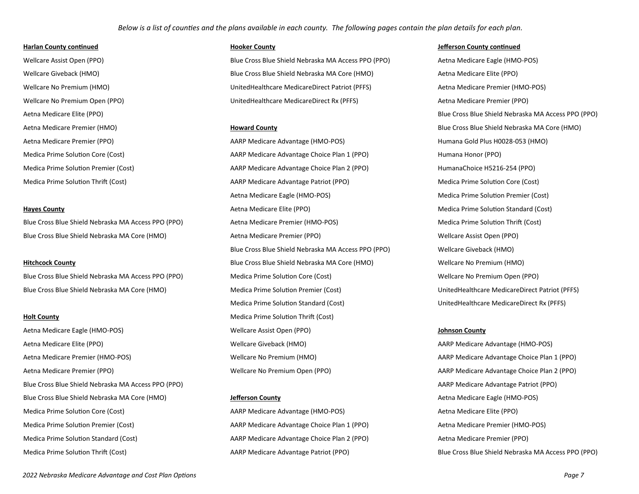Blue Cross Blue Shield Nebraska MA Access PPO (PPO)  $\blacksquare$  Aetna Medicare Premier (HMO-POS) Medica Prime Solution Thrift (Cost) Blue Cross Blue Shield Nebraska MA Core (HMO) **Aetna Medicare Premier (PPO)** Mellcare Assist Open (PPO)

Blue Cross Blue Shield Nebraska MA Access PPO (PPO) Medica Prime Solution Core (Cost) Wellcare No Premium Open (PPO) Blue Cross Blue Shield Nebraska MA Core (HMO) Medica Prime Solution Premier (Cost) Controlled Medicare MedicareDirect Patriot (PFFS)

Aetna Medicare Elite (PPO) New Agreem Communication (HMO) Wellcare Giveback (HMO) AARP Medicare Advantage (HMO-POS) Aetna Medicare Premier (HMO-POS) Wellcare No Premium (HMO) AARP Medicare Advantage Choice Plan 1 (PPO) Aetna Medicare Premier (PPO) Wellcare No Premium Open (PPO) AARP Medicare Advantage Choice Plan 2 (PPO) Blue Cross Blue Shield Nebraska MA Access PPO (PPO) and the state of the state of the state and the state of the state of the state of the state of the state of the state of the state of the state of the state of the state Blue Cross Blue Shield Nebraska MA Core (HMO) **Jefferson County Jefferson County** Aetha Medicare Eagle (HMO-POS) Medica Prime Solution Core (Cost) The Solution Core (Cost) and Medicare Advantage (HMO-POS) Aetna Medicare Elite (PPO) Medica Prime Solution Premier (Cost)  $\blacksquare$  AARP Medicare Advantage Choice Plan 1 (PPO)  $\blacksquare$  Aetna Medicare Premier (HMO-POS) Medica Prime Solution Standard (Cost)  $A$ ARP Medicare Advantage Choice Plan 2 (PPO)  $A$ etna Medicare Premier (PPO) Medica Prime Solution Thrift (Cost) **AARP Medicare Advantage Patriot (PPO)** Blue Cross Blue Shield Nebraska MA Access PPO (PPO)

Wellcare Assist Open (PPO) **Blue Cross Blue Cross Blue Shield Nebraska MA Access PPO (PPO)** Aetna Medicare Eagle (HMO-POS) Wellcare Giveback (HMO) **Blue Cross Blue Shield Nebraska MA Core (HMO)** Aetna Medicare Elite (PPO) Wellcare No Premium (HMO) **Notair Constant Constant United** UnitedHealthcare MedicareDirect Patriot (PFFS) Aetna Medicare Premier (HMO-POS) Wellcare No Premium Open (PPO) The UnitedHealthcare MedicareDirect Rx (PFFS) Number 2014 Aetna Medicare Premier (PPO)

Aetna Medicare Premier (PPO) AARP Medicare Advantage (HMO-POS) Humana Gold Plus H0028-053 (HMO) Medica Prime Solution Core (Cost) AARP Medicare Advantage Choice Plan 1 (PPO) Humana Honor (PPO) Medica Prime Solution Premier (Cost)  $\blacksquare$  AARP Medicare Advantage Choice Plan 2 (PPO) HumanaChoice H5216-254 (PPO) Medica Prime Solution Thrift (Cost) **AARP Medicare Advantage Patriot (PPO)** Medica Prime Solution Core (Cost) Aetna Medicare Eagle (HMO-POS) Medica Prime Solution Premier (Cost) **Hayes County Alternal Action Action Action Action Action** Aetna Medicare Elite (PPO) **Alternal Action Standard (Action Standard (Cost) A** And **Action** Action Standard (Cost) Blue Cross Blue Shield Nebraska MA Access PPO (PPO) Wellcare Giveback (HMO) **Hitchcock County Example 2 County** Blue Cross Blue Cross Blue Shield Nebraska MA Core (HMO) Wellcare No Premium (HMO) Medica Prime Solution Standard (Cost) UnitedHealthcare MedicareDirect Rx (PFFS) **Holt County Medica Prime Solution Thrift (Cost) Medica Prime Solution Thrift (Cost)** Aetna Medicare Eagle (HMO-POS) Wellcare Assist Open (PPO) **Johnson County**

### **Harlan County continued Hooker County Jefferson County continued**

Aetna Medicare Elite (PPO) **Blue Cross Blue Shield Nebraska MA Access PPO (PPO)** Blue Cross Blue Shield Nebraska MA Access PPO (PPO) Aetna Medicare Premier (HMO) **Howard County Howard County Blue Cross Blue Cross Blue Shield Nebraska MA Core (HMO)**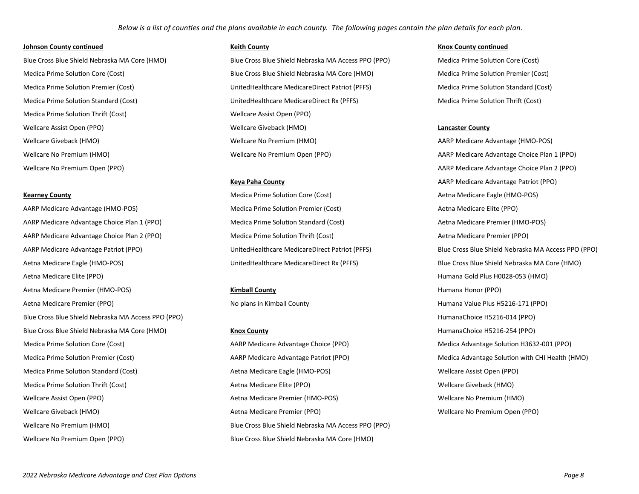## **Johnson County continued Keith County Keith County Keith County Keith County Keith County Knox County continued**

Medica Prime Solution Thrift (Cost) Medicare Assist Open (PPO)

AARP Medicare Advantage Choice Plan 1 (PPO) Medica Prime Solution Standard (Cost) Aetna Medicare Premier (HMO-POS) AARP Medicare Advantage Choice Plan 2 (PPO) Medica Prime Solution Thrift (Cost) Aetna Medicare Premier (PPO) Medicare Premier (PPO) AARP Medicare Advantage Patriot (PPO) UnitedHealthcare MedicareDirect Patriot (PFFS) Blue Cross Blue Shield Nebraska MA Access PPO (PPO) Aetna Medicare Eagle (HMO-POS) UnitedHealthcare MedicareDirect Rx (PFFS) Blue Cross Blue Shield Nebraska MA Core (HMO) Aetna Medicare Elite (PPO) **According to the Controller Controller Controller Controller Controller Controller Controller Controller Controller Controller Controller Controller Controller Controller Controller Controller C** Aetna Medicare Premier (HMO-POS) *Kimball County* **Medicare Premier (HMO-POS) Research County Kimball County Humana Honor (PPO) Research County Research County Research County Research County Research Count** Aetna Medicare Premier (PPO) No plans in Kimball County No plans in Kimball County Humana Value Plus H5216-171 (PPO) Blue Cross Blue Shield Nebraska MA Access PPO (PPO) **HumanaChoice H5216-014** (PPO) Blue Cross Blue Shield Nebraska MA Core (HMO) **Knox County Knox County Knox County HumanaChoice H5216-254 (PPO)** Medica Prime Solution Core (Cost)  $AAPP$  Medicare Advantage Choice (PPO)  $M$  Medica Advantage Solution H3632-001 (PPO) Medica Prime Solution Premier (Cost) AARP Medicare Advantage Patriot (PPO) Medica Advantage Solution with CHI Health (HMO) Medica Prime Solution Standard (Cost)  $\blacksquare$  Aetna Medicare Eagle (HMO-POS)  $\blacksquare$  Wellcare Assist Open (PPO) Medica Prime Solution Thrift (Cost)  $\blacksquare$  Aetna Medicare Elite (PPO)  $\blacksquare$  Wellcare Giveback (HMO) Wellcare Assist Open (PPO)  $\blacksquare$  Aetna Medicare Premier (HMO-POS)  $\blacksquare$  Wellcare No Premium (HMO) Wellcare Giveback (HMO) **Aetha Medicare Premier (PPO)** Aetna Medicare Premier (PPO) Wellcare No Premium Open (PPO) Wellcare No Premium (HMO) Blue Cross Blue Shield Nebraska MA Access PPO (PPO) Wellcare No Premium Open (PPO) The Shield Nebraska MA Core (HMO) Blue Cross Blue Shield Nebraska MA Core (HMO)

Blue Cross Blue Shield Nebraska MA Core (HMO) Blue Cross Blue Shield Nebraska MA Access PPO (PPO) Medica Prime Solution Core (Cost) Medica Prime Solution Core (Cost) **Blue Cross Blue Shield Nebraska MA Core (HMO)** Medica Prime Solution Premier (Cost) Medica Prime Solution Premier (Cost) UnitedHealthcare MedicareDirect Patriot (PFFS) Medica Prime Solution Standard (Cost) Medica Prime Solution Standard (Cost) UnitedHealthcare MedicareDirect Rx (PFFS) Medica Prime Solution Thrift (Cost) Wellcare Assist Open (PPO) Wellcare Giveback (HMO) **Lancaster County** Wellcare Giveback (HMO) **Wellcare Mondust Advantage (HMO-POS)** Wellcare No Premium (HMO) **AARP Medicare Advantage (HMO-POS**)

Kearney County **Medica Prime Solution Core (Cost)** Aetna Medicare Eagle (HMO-POS) AARP Medicare Advantage (HMO-POS) and the Medica Prime Solution Premier (Cost) and the Medicare Elite (PPO) Aetna Medicare Elite (PPO)

Wellcare No Premium (HMO) **Wellcare No Premium Open (PPO)** and the matter of the AARP Medicare Advantage Choice Plan 1 (PPO) Wellcare No Premium Open (PPO) AARP Medicare Advantage Choice Plan 2 (PPO) **Keya Paha County Keya Paha County AARP Medicare Advantage Patriot (PPO)**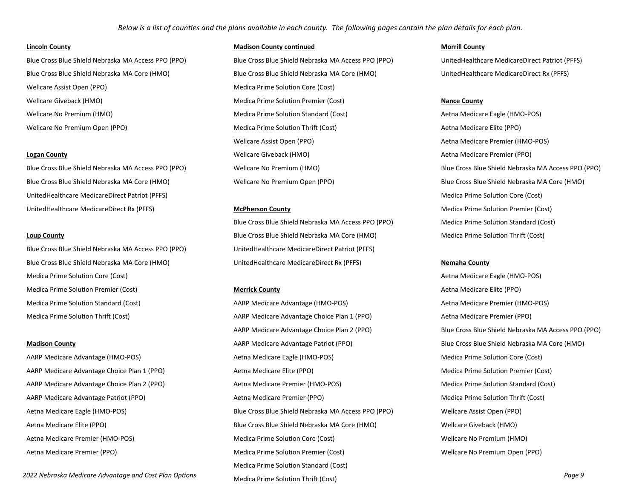Blue Cross Blue Shield Nebraska MA Access PPO (PPO) Blue Cross Blue Shield Nebraska MA Access PPO (PPO) UnitedHealthcare MedicareDirect Patriot (PFFS) Blue Cross Blue Shield Nebraska MA Core (HMO) Blue Cross Blue Shield Nebraska MA Core (HMO) UnitedHealthcare MedicareDirect Rx (PFFS) Wellcare Assist Open (PPO) Medica Prime Solution Core (Cost) Wellcare Giveback (HMO) **Medica Prime Solution Premier (Cost)** Medica Prime Solution Premier (Cost) **Nance County** Wellcare No Premium (HMO) **Medica Prime Solution Standard (Cost)** Aetna Medicare Eagle (HMO-POS) Wellcare No Premium Open (PPO) **Medica Prime Solution Thrift (Cost)** Aetna Medicare Elite (PPO) Medicare Elite (PPO)

Blue Cross Blue Shield Nebraska MA Access PPO (PPO) Wellcare No Premium (HMO) Blue Cross Blue Shield Nebraska MA Access PPO (PPO) Blue Cross Blue Shield Nebraska MA Core (HMO) Wellcare No Premium Open (PPO) Blue Cross Blue Shield Nebraska MA Core (HMO) UnitedHealthcare MedicareDirect Patriot (PFFS) and the Medica Prime Solution Core (Cost) and Medica Prime Solution Core (Cost) UnitedHealthcare MedicareDirect Rx (PFFS) **McPherson County** Medica Prime Solution Premier (Cost)

Medica Prime Solution Core (Cost) and Solution Core (Cost) and Solution Core (HMO-POS) Aetna Medicare Eagle (HMO-POS) Medica Prime Solution Premier (Cost) **Merrick County Merrick County Medical Prime Solution Premier (Cost) Merrick County Merrick County Aetna Medicare Elite (PPO)** 

*2022 Nebraska Medicare Advantage and Cost Plan Options Page 9*

## **Lincoln County Madison County continued Morrill County**

Wellcare Assist Open (PPO)  $\overline{P}(P)$  Aetna Medicare Premier (HMO-POS) **Logan County Medicare Premier (PPO) Wellcare Giveback (HMO) Aetna Medicare Premier (PPO) Aetna Medicare Premier (PPO)** 

Blue Cross Blue Shield Nebraska MA Access PPO (PPO) Medica Prime Solution Standard (Cost) **Loup County Blue Cross Blue Cross Blue Shield Nebraska MA Core (HMO)** Medica Prime Solution Thrift (Cost) Blue Cross Blue Shield Nebraska MA Access PPO (PPO) UnitedHealthcare MedicareDirect Patriot (PFFS) Blue Cross Blue Shield Nebraska MA Core (HMO) UnitedHealthcare MedicareDirect Rx (PFFS) **Nemaha County**

Medica Prime Solution Standard (Cost)  $A$ ARP Medicare Advantage (HMO-POS)  $A$ etna Medicare Premier (HMO-POS) Medica Prime Solution Thrift (Cost) **Andrew AARP Medicare Advantage Choice Plan 1 (PPO)** Aetna Medicare Premier (PPO) AARP Medicare Advantage Choice Plan 2 (PPO) Blue Cross Blue Shield Nebraska MA Access PPO (PPO) **Madison County AARP Medicare Advantage Patriot (PPO)** Blue Cross Blue Shield Nebraska MA Core (HMO) AARP Medicare Advantage (HMO-POS) and the Actribution Core (Cost) Aetha Medicare Eagle (HMO-POS) and the Medica Prime Solution Core (Cost) AARP Medicare Advantage Choice Plan 1 (PPO) Aetna Medicare Elite (PPO) Medica Prime Solution Premier (Cost) AARP Medicare Advantage Choice Plan 2 (PPO)  $\blacksquare$  Aetna Medicare Premier (HMO-POS) Medica Prime Solution Standard (Cost) AARP Medicare Advantage Patriot (PPO) **Actrica Actribute Actricare Actricare Premier** (PPO) **Aetha Medicare Premier (PPO)** Medica Prime Solution Thrift (Cost) Aetna Medicare Eagle (HMO-POS) Blue Cross Blue Shield Nebraska MA Access PPO (PPO) Wellcare Assist Open (PPO) Aetna Medicare Elite (PPO) **Blue Cross Blue Cross Blue Shield Nebraska MA Core (HMO)** Wellcare Giveback (HMO) Aetna Medicare Premier (HMO-POS) and Medicare Prime Solution Core (Cost) and Medicare No Premium (HMO) And Medicare No Premium (HMO) Aetna Medicare Premier (PPO) **Medica Prime Solution Premier (Cost)** Medica Prime Solution Premier (Cost) Mellcare No Premium Open (PPO) Medica Prime Solution Standard (Cost) Medica Prime Solution Thrift (Cost)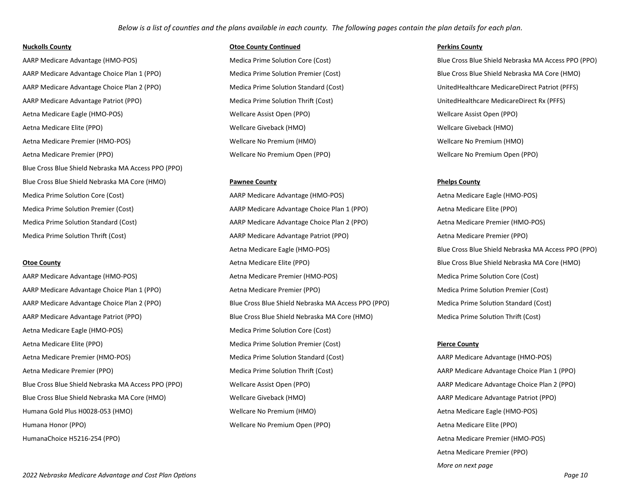AARP Medicare Advantage Choice Plan 1 (PPO) Medica Prime Solution Premier (Cost) Blue Cross Blue Shield Nebraska MA Core (HMO) AARP Medicare Advantage Choice Plan 2 (PPO) Medica Prime Solution Standard (Cost) UnitedHealthcare MedicareDirect Patriot (PFFS) AARP Medicare Advantage Patriot (PPO) Medica Prime Solution Thrift (Cost) UnitedHealthcare MedicareDirect Rx (PFFS) Aetna Medicare Eagle (HMO-POS) Wellcare Assist Open (PPO) Wellcare Assist Open (PPO) Aetna Medicare Elite (PPO) Wellcare Giveback (HMO) Wellcare Giveback (HMO) Aetna Medicare Premier (HMO-POS) Wellcare No Premium (HMO) Wellcare No Premium (HMO) Aetna Medicare Premier (PPO) Wellcare No Premium Open (PPO) Wellcare No Premium Open (PPO) Blue Cross Blue Shield Nebraska MA Access PPO (PPO) Blue Cross Blue Shield Nebraska MA Core (HMO) **Pawnee County Property Controlled Blue County** Phelps County Medica Prime Solution Core (Cost)  $A$ ARP Medicare Advantage (HMO-POS)  $A$ etna Medicare Eagle (HMO-POS) Medica Prime Solution Premier (Cost)  $A$ ARP Medicare Advantage Choice Plan 1 (PPO)  $A$ etna Medicare Elite (PPO) Medica Prime Solution Standard (Cost)  $A$ ARP Medicare Advantage Choice Plan 2 (PPO)  $A$ etna Medicare Premier (HMO-POS) Medica Prime Solution Thrift (Cost)  $A$ ARP Medicare Advantage Patriot (PPO)  $A$ etna Medicare Premier (PPO)

AARP Medicare Advantage Choice Plan 1 (PPO) Aetna Medicare Premier (PPO) Medica Prime Solution Premier (Cost) AARP Medicare Advantage Choice Plan 2 (PPO) Blue Cross Blue Shield Nebraska MA Access PPO (PPO) Medica Prime Solution Standard (Cost) AARP Medicare Advantage Patriot (PPO) Solution Thrift (Cost) Blue Cross Blue Shield Nebraska MA Core (HMO) Medica Prime Solution Thrift (Cost) Aetna Medicare Eagle (HMO-POS) Medica Prime Solution Core (Cost) Aetna Medicare Elite (PPO) **Medica Prime Solution Premier (Cost) Pierce County Pierce County Pierce County** Aetna Medicare Premier (HMO-POS) **Medica Prime Solution Standard (Cost)** AARP Medicare Advantage (HMO-POS) Aetna Medicare Premier (PPO) and Medica Prime Solution Thrift (Cost) and Medicare Advantage Choice Plan 1 (PPO) Blue Cross Blue Shield Nebraska MA Access PPO (PPO) Wellcare Assist Open (PPO) AARP Medicare Advantage Choice Plan 2 (PPO) Blue Cross Blue Shield Nebraska MA Core (HMO) **Mulle Cross And An And An Acceptacia** Cross Advantage Patriot (PPO) Humana Gold Plus H0028-053 (HMO) **Medicare No Premium (HMO)** Medicare No Premium (HMO) Aetna Medicare Eagle (HMO-POS) Humana Honor (PPO) The Controller Controller Medicare No Premium Open (PPO) Network and Medicare Elite (PPO) HumanaChoice H5216-254 (PPO) **Aetna Medicare Premier (HMO-POS**) **Aetna Medicare Premier (HMO-POS**)

## **Nuckolls County Otoe County Continued Perkins County**

**Otoe County Aetna Medicare Elite (PPO) Blue Cross Blue Shield Nebraska MA Core (HMO) Blue Cross Blue Shield Nebraska MA Core (HMO)** AARP Medicare Advantage (HMO-POS) **Authority Controller Active Advantage Advantage Cost** Aetna Medicare Premier (HMO-POS) **And Active Advantage (Cost)** Medica Prime Solution Core (Cost)

AARP Medicare Advantage (HMO-POS) Medica Prime Solution Core (Cost) Blue Cross Blue Cross Blue Shield Nebraska MA Access PPO (PPO)

Aetna Medicare Eagle (HMO-POS) Blue Cross Blue Shield Nebraska MA Access PPO (PPO)

Aetna Medicare Premier (PPO) *More on next page*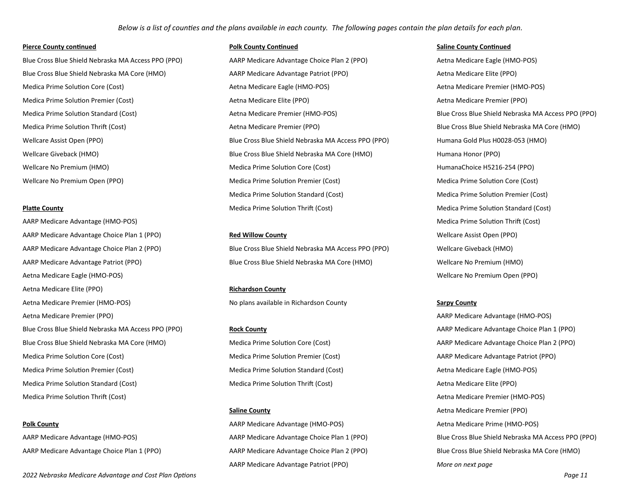Blue Cross Blue Shield Nebraska MA Access PPO (PPO) AARP Medicare Advantage Choice Plan 2 (PPO) Aetna Medicare Eagle (HMO-POS)

AARP Medicare Advantage (HMO-POS) and the state of the state of the state of the solution Thrift (Cost) and the solution Thrift (Cost) AARP Medicare Advantage Choice Plan 1 (PPO) **Red Willow County Red Willow County** Wellcare Assist Open (PPO) AARP Medicare Advantage Choice Plan 2 (PPO) Blue Cross Blue Shield Nebraska MA Access PPO (PPO) Wellcare Giveback (HMO) Aetna Medicare Eagle (HMO-POS) Wellcare No Premium Open (PPO) Aetna Medicare Elite (PPO) **Richardson County** Aetna Medicare Premier (HMO-POS) No plans available in Richardson County **Sarpy County** Sarpy County Aetna Medicare Premier (PPO) and the extension of the extension of the extension of the AARP Medicare Advantage (HMO-POS) Blue Cross Blue Shield Nebraska MA Access PPO (PPO) **Rock County Rock County Rock Access PO ALL ALL AND AARP Medicare Advantage Choice Plan 1 (PPO)** Blue Cross Blue Shield Nebraska MA Core (HMO) Medica Prime Solution Core (Cost) AARP Medicare Advantage Choice Plan 2 (PPO) Medica Prime Solution Core (Cost) Medica Prime Solution Premier (Cost) AARP Medicare Advantage Patriot (PPO) Medica Prime Solution Premier (Cost) The Medica Prime Solution Standard (Cost) and Aetna Medicare Eagle (HMO-POS) Medica Prime Solution Standard (Cost) **Medica Prime Solution Thrift (Cost)** Aetna Medicare Elite (PPO) Medica Prime Solution Thrift (Cost) and Solution Thrift (Cost) and Solution Thrift (Cost) and Aetna Medicare Premier (HMO-POS)

Blue Cross Blue Shield Nebraska MA Core (HMO) **ARRP Medicare Advantage Patriot (PPO)** Aetna Medicare Elite (PPO) Medica Prime Solution Core (Cost) **Action Cone Cone Action Cone Action** Aetha Medicare Eagle (HMO-POS) **Aetha Medicare Premier (HMO-POS)** Aetha Medicare Premier (HMO-POS) Medica Prime Solution Premier (Cost)  $\blacksquare$  Aetna Medicare Elite (PPO)  $\blacksquare$  Aetna Medicare Premier (PPO) Medica Prime Solution Standard (Cost) **Aetha Medicare Premier (HMO-POS)** Blue Cross Blue Shield Nebraska MA Access PPO (PPO) Medica Prime Solution Thrift (Cost)  $\blacksquare$  Aetna Medicare Premier (PPO) Blue Cross Blue Shield Nebraska MA Core (HMO) Wellcare Assist Open (PPO) **Blue Cross Blue Shield Nebraska MA Access PPO (PPO)** Humana Gold Plus H0028-053 (HMO) Wellcare Giveback (HMO) **Blue Cross Blue Shield Nebraska MA Core (HMO)** Humana Honor (PPO) Humana Honor (PPO) Wellcare No Premium (HMO) Medica Prime Solution Core (Cost) and Medica Prime Solution Core (Cost) Medica Prime Solution Core (Cost) Wellcare No Premium Open (PPO) **Medica Prime Solution Premier (Cost)** Medica Prime Solution Core (Cost) Medica Prime Solution Core (Cost) Medica Prime Solution Standard (Cost) Medica Prime Solution Premier (Cost) **Platte County Medica Prime Solution Thrift (Cost)** Medica Prime Solution Standard (Cost) Medica Prime Solution Standard (Cost)

AARP Medicare Advantage Patriot (PPO) Same Shield Nebraska MA Core (HMO) Melicare No Premium (HMO) AARP Medicare No Premium (HMO)

**Polk County AARP Medicare Advantage (HMO-POS)** And An Agents Advantage (HMO-POS) **And Accounts Advantage (HMO-POS**) AARP Medicare Advantage Patriot (PPO) *More on next page*

**Pierce County continued Polk County Continued Saline County Continued**

**Saline County Aetna Medicare Premier (PPO) Aetna Medicare Premier (PPO)** AARP Medicare Advantage (HMO-POS) AARP Medicare Advantage Choice Plan 1 (PPO) Blue Cross Blue Shield Nebraska MA Access PPO (PPO) AARP Medicare Advantage Choice Plan 1 (PPO) AARP Medicare Advantage Choice Plan 2 (PPO) Blue Cross Blue Shield Nebraska MA Core (HMO)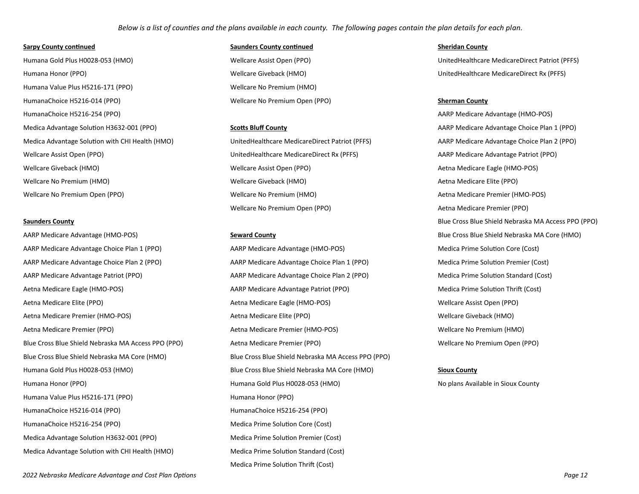Humana Gold Plus H0028-053 (HMO) Wellcare Assist Open (PPO) UnitedHealthcare MedicareDirect Patriot (PFFS) Humana Honor (PPO) The Medicare Oriental Medicare Giveback (HMO) Numeron Controller Medicare MedicareDirect Rx (PFFS) Humana Value Plus H5216-171 (PPO) Wellcare No Premium (HMO) HumanaChoice H5216-014 (PPO) Wellcare No Premium Open (PPO) **Sherman County** HumanaChoice H5216-254 (PPO) **AARP Medicare Advantage (HMO-POS**) **AARP Medicare Advantage (HMO-POS**) Medica Advantage Solution H3632-001 (PPO) **Scotts Bluff County Scotts Bluff County** AARP Medicare Advantage Choice Plan 1 (PPO) Medica Advantage Solution with CHI Health (HMO) UnitedHealthcare MedicareDirect Patriot (PFFS) AARP Medicare Advantage Choice Plan 2 (PPO) Wellcare Assist Open (PPO) **Same Comparent Contract Advantage Contract Advantage Patriot (PPO)** UnitedHealthcare MedicareDirect Rx (PFFS) **AARP Medicare Advantage Patriot (PPO)** Wellcare Giveback (HMO) WELLCARE Assist Open (PPO) Medicare Eagle (HMO-POS) Medicare Eagle (HMO-POS) Wellcare No Premium (HMO) Noting the South Communication of Medicare Giveback (HMO) and the South Aetna Medicare Elite (PPO) Wellcare No Premium Open (PPO) **Wellcare No Premium (HMO** Aetna Medicare Premier (HMO-POS) Medicare Premier (HMO-POS)

AARP Medicare Advantage Choice Plan 1 (PPO)  $A$ ARP Medicare Advantage (HMO-POS) Medica Prime Solution Core (Cost) AARP Medicare Advantage Choice Plan 2 (PPO) AARP Medicare Advantage Choice Plan 1 (PPO) Medica Prime Solution Premier (Cost) AARP Medicare Advantage Patriot (PPO) **AARP Medicare Advantage Choice Plan 2** (PPO) Medica Prime Solution Standard (Cost) Aetna Medicare Eagle (HMO-POS) **AARP Medicare Advantage Patriot (PPO)** Medica Prime Solution Thrift (Cost) Aetna Medicare Elite (PPO) and the Company of Aetna Medicare Eagle (HMO-POS) and the Company of Mellcare Assist Open (PPO) Aetna Medicare Premier (HMO-POS) and the Medicare Elite (PPO) and the Medicare Elite (PPO) when we wellcare Giveback (HMO) Aetna Medicare Premier (PPO) and Aetna Medicare Premier (HMO-POS) and Medicare Premier (HMO-POS) wellcare No Premium (HMO) Blue Cross Blue Shield Nebraska MA Access PPO (PPO)  $\blacksquare$  Aetna Medicare Premier (PPO) Wellcare No Premium Open (PPO) Blue Cross Blue Shield Nebraska MA Core (HMO) Blue Cross Blue Shield Nebraska MA Access PPO (PPO) Humana Gold Plus H0028-053 (HMO) Blue Cross Blue Shield Nebraska MA Core (HMO) **Sioux County** Humana Honor (PPO) https://www.mana Gold Plus H0028-053 (HMO) https://www.manamagold Plus H0028-053 (HMO) https://www.manamagold.com/www.manamagold Plus H0028-053 (HMO) https://www.manamagold.com/www.manamagold Plus H0028-Humana Value Plus H5216-171 (PPO) entitled to the Mumana Honor (PPO) HumanaChoice H5216-014 (PPO) HumanaChoice H5216-254 (PPO) HumanaChoice H5216-254 (PPO) Medica Prime Solution Core (Cost) Medica Advantage Solution H3632-001 (PPO) Medica Prime Solution Premier (Cost) Medica Advantage Solution with CHI Health (HMO) Medica Prime Solution Standard (Cost)

**Sarpy County continued Saunders County continued Sheridan County**

Wellcare No Premium Open (PPO) Netha Medicare Premier (PPO)

Medica Prime Solution Thrift (Cost)

**Saunders County** Blue Cross Blue Shield Nebraska MA Access PPO (PPO) AARP Medicare Advantage (HMO-POS) **Seward County Seward County Blue Cross Blue Cross Blue Shield Nebraska MA Core (HMO)**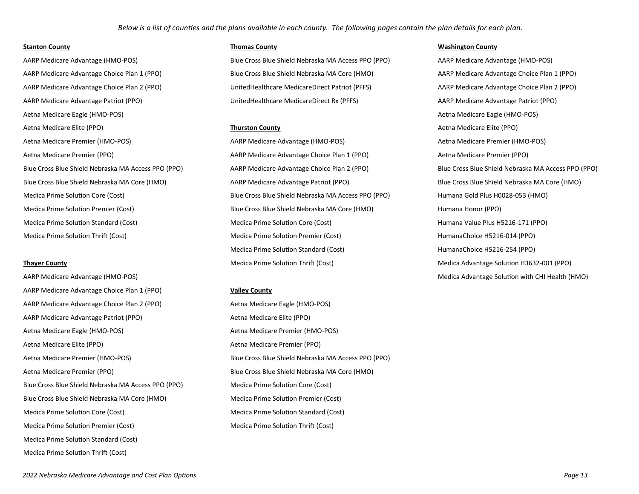Aetna Medicare Eagle (HMO-POS) and Sample (HMO-POS) and Sample (HMO-POS) and Sample (HMO-POS) and Sample (HMO-POS) Aetna Medicare Elite (PPO) **Thurston County Thurston County Aetna Medicare Elite (PPO)** Aetna Medicare Elite (PPO) Aetna Medicare Premier (HMO-POS) AARP Medicare Advantage (HMO-POS) Aetna Medicare Premier (HMO-POS)

AARP Medicare Advantage Choice Plan 1 (PPO) **Valley County** AARP Medicare Advantage Choice Plan 2 (PPO) Aetna Medicare Eagle (HMO-POS) AARP Medicare Advantage Patriot (PPO) Aetna Medicare Elite (PPO) Aetna Medicare Eagle (HMO-POS) and Actribute and Aetna Medicare Premier (HMO-POS) Aetna Medicare Elite (PPO) and Aetna Medicare Premier (PPO) and Aetna Medicare Premier (PPO) Aetna Medicare Premier (PPO) Blue Cross Blue Shield Nebraska MA Core (HMO) Blue Cross Blue Shield Nebraska MA Access PPO (PPO) Medica Prime Solution Core (Cost) Blue Cross Blue Shield Nebraska MA Core (HMO) Medica Prime Solution Premier (Cost) Medica Prime Solution Core (Cost) Medica Prime Solution Standard (Cost) Medica Prime Solution Premier (Cost) Medica Prime Solution Thrift (Cost) Medica Prime Solution Standard (Cost) Medica Prime Solution Thrift (Cost)

AARP Medicare Advantage (HMO-POS) Blue Cross Blue Shield Nebraska MA Access PPO (PPO) AARP Medicare Advantage (HMO-POS) AARP Medicare Advantage Choice Plan 1 (PPO) Blue Cross Blue Shield Nebraska MA Core (HMO) AARP Medicare Advantage Choice Plan 1 (PPO) AARP Medicare Advantage Choice Plan 2 (PPO) UnitedHealthcare MedicareDirect Patriot (PFFS) AARP Medicare Advantage Choice Plan 2 (PPO) AARP Medicare Advantage Patriot (PPO) UnitedHealthcare MedicareDirect Rx (PFFS) AARP Medicare Advantage Patriot (PPO)

Aetna Medicare Premier (PPO) **Action** AARP Medicare Advantage Choice Plan 1 (PPO) Aetna Medicare Premier (PPO) Blue Cross Blue Shield Nebraska MA Core (HMO) AARP Medicare Advantage Patriot (PPO) Blue Cross Blue Shield Nebraska MA Core (HMO) Medica Prime Solution Core (Cost) The Solution Core (Cost) and Blue Cross Blue Cross Blue Shield Nebraska MA Access PPO (PPO) Humana Gold Plus H0028-053 (HMO) Medica Prime Solution Premier (Cost) The Solution Premier (Cost) Blue Cross Blue Shield Nebraska MA Core (HMO) Humana Honor (PPO) Medica Prime Solution Standard (Cost) **Medica Prime Solution Core (Cost)** Humana Value Plus H5216-171 (PPO) Medica Prime Solution Thrift (Cost) Medica Prime Solution Premier (Cost) Medica Prime Solution Premier (Cost) HumanaChoice H5216-014 (PPO) Medica Prime Solution Standard (Cost) Medica Prime Solution Standard (Cost) HumanaChoice H5216-254 (PPO) **Thayer County Medica Prime Solution Thrift (Cost)** Medica Advantage Solution H3632-001 (PPO)

Aetna Medicare Premier (HMO-POS) Blue Cross Blue Shield Nebraska MA Access PPO (PPO)

## **Stanton County Washington County Thomas County Thomas County Washington County Washington County**

Blue Cross Blue Shield Nebraska MA Access PPO (PPO) **AARP Medicare Advantage Choice Plan 2 (PPO)** Blue Cross Blue Shield Nebraska MA Access PPO (PPO) AARP Medicare Advantage (HMO-POS) and the Medica Advantage Solution with CHI Health (HMO) ARP Medica Advantage Solution with CHI Health (HMO)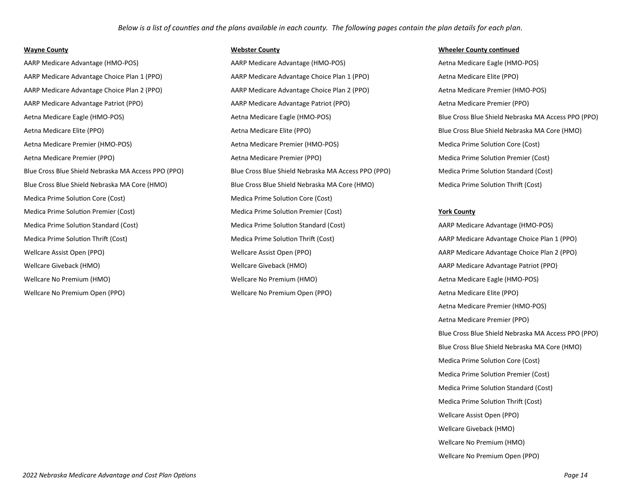Medica Prime Solution Core (Cost) Medica Prime Solution Core (Cost)

AARP Medicare Advantage (HMO-POS) **AARP Medicare Advantage (HMO-POS)** And Actna Medicare Eagle (HMO-POS) AARP Medicare Advantage Choice Plan 1 (PPO) AARP Medicare Advantage Choice Plan 1 (PPO) Aetna Medicare Elite (PPO) AARP Medicare Advantage Choice Plan 2 (PPO) AARP Medicare Advantage Choice Plan 2 (PPO) Aetna Medicare Premier (HMO-POS) AARP Medicare Advantage Patriot (PPO)  $\blacksquare$  AARP Medicare Advantage Patriot (PPO)  $\blacksquare$  Aetna Medicare Premier (PPO) Aetna Medicare Elite (PPO) **Aetna Medicare Elite (PPO)** Blue Cross Blue Shield Nebraska MA Core (HMO) **Aberaska MA Core (HMO)** Aetna Medicare Premier (HMO-POS) and Aetna Medicare Premier (HMO-POS) and Medicare Premier (HMO-POS) and Medica Prime Solution Core (Cost) Aetna Medicare Premier (PPO) and Aetna Medicare Premier (PPO) and Aetna Medicare Premier (Cost) Medica Prime Solution Premier (Cost) Blue Cross Blue Shield Nebraska MA Access PPO (PPO) Blue Cross Blue Shield Nebraska MA Access PPO (PPO) Medica Prime Solution Standard (Cost) Blue Cross Blue Shield Nebraska MA Core (HMO) Blue Cross Blue Shield Nebraska MA Core (HMO) Medica Prime Solution Thrift (Cost) Medica Prime Solution Premier (Cost) Medica Prime Solution Premier (Cost) **York County** Medica Prime Solution Standard (Cost) Medica Prime Solution Standard (Cost) AARP Medicare Advantage (HMO-POS) Medica Prime Solution Thrift (Cost) Medica Prime Solution Thrift (Cost) AARP Medicare Advantage Choice Plan 1 (PPO) Wellcare Assist Open (PPO) Wellcare Assist Open (PPO) AARP Medicare Advantage Choice Plan 2 (PPO) Wellcare Giveback (HMO) Wellcare Giveback (HMO) AARP Medicare Advantage Patriot (PPO) Wellcare No Premium (HMO) Noted that the Moscow of Muslim (HMO) Wellcare No Premium (HMO) and the Medicare Eagle (HMO-POS) Wellcare No Premium Open (PPO) and the University of Mellcare No Premium Open (PPO) and the Medicare Elite (PPO)

## Webster County **Webster County Webster County Webster County Webster County Wheeler County continued**

Aetna Medicare Eagle (HMO-POS) and Access PPO (PPO) Aetna Medicare Eagle (HMO-POS) Blue Cross Blue Shield Nebraska MA Access PPO (PPO)

Aetna Medicare Premier (HMO-POS) Aetna Medicare Premier (PPO) Blue Cross Blue Shield Nebraska MA Access PPO (PPO) Blue Cross Blue Shield Nebraska MA Core (HMO) Medica Prime Solution Core (Cost) Medica Prime Solution Premier (Cost) Medica Prime Solution Standard (Cost) Medica Prime Solution Thrift (Cost) Wellcare Assist Open (PPO) Wellcare Giveback (HMO) Wellcare No Premium (HMO) Wellcare No Premium Open (PPO)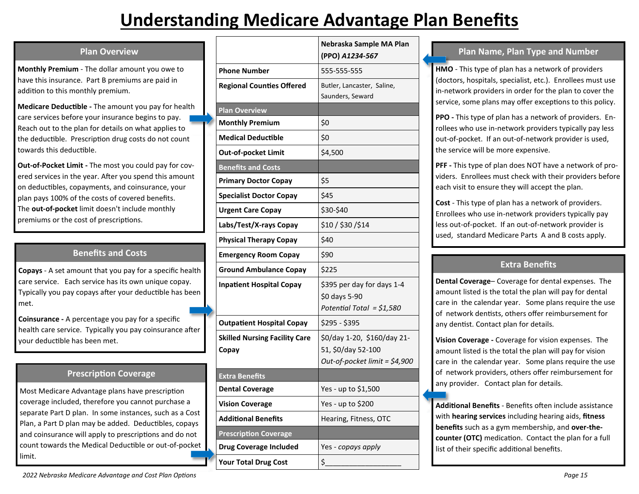# **Understanding Medicare Advantage Plan Benefits**

**Nebraska Sample MA Plan** 

# **Plan Overview**

**Monthly Premium** - The dollar amount you owe to have this insurance. Part B premiums are paid in addition to this monthly premium.

**Medicare Deductible -** The amount you pay for health care services before your insurance begins to pay. Reach out to the plan for details on what applies to the deductible. Prescription drug costs do not count towards this deductible.

**Out-of-Pocket Limit -** The most you could pay for covered services in the year. After you spend this amount on deductibles, copayments, and coinsurance, your plan pays 100% of the costs of covered benefits. The **out-of-pocket** limit doesn't include monthly premiums or the cost of prescriptions.

# **Benefits and Costs**

**Copays** - A set amount that you pay for a specific health care service. Each service has its own unique copay. Typically you pay copays after your deductible has been met.

**Coinsurance -** A percentage you pay for a specific health care service. Typically you pay coinsurance after your deductible has been met.

# **Prescription Coverage**

Most Medicare Advantage plans have prescription coverage included, therefore you cannot purchase a separate Part D plan. In some instances, such as a Cost Plan, a Part D plan may be added. Deductibles, copays and coinsurance will apply to prescriptions and do not count towards the Medical Deductible or out-of-pocket limit.

|                              |                                      | nusivu sunn<br>(PPO) A1234-567                 |
|------------------------------|--------------------------------------|------------------------------------------------|
| <b>Phone Number</b>          |                                      | 555-555-555                                    |
|                              | <b>Regional Counties Offered</b>     | Butler, Lancaster, Saline,<br>Saunders, Seward |
| <b>Plan Overview</b>         |                                      |                                                |
| <b>Monthly Premium</b>       |                                      | \$0                                            |
| <b>Medical Deductible</b>    |                                      | \$0                                            |
| Out-of-pocket Limit          |                                      | \$4,500                                        |
| <b>Benefits and Costs</b>    |                                      |                                                |
| <b>Primary Doctor Copay</b>  |                                      | \$5                                            |
|                              | <b>Specialist Doctor Copay</b>       | \$45                                           |
| <b>Urgent Care Copay</b>     |                                      | \$30-\$40                                      |
|                              | Labs/Test/X-rays Copay               | \$10 / \$30 / \$14                             |
|                              | <b>Physical Therapy Copay</b>        | \$40                                           |
|                              | <b>Emergency Room Copay</b>          | \$90                                           |
|                              | <b>Ground Ambulance Copay</b>        | \$225                                          |
|                              | <b>Inpatient Hospital Copay</b>      | \$395 per day for days 1-4                     |
|                              |                                      | \$0 days 5-90                                  |
|                              |                                      | Potential Total = $$1,580$                     |
|                              | <b>Outpatient Hospital Copay</b>     | \$295 - \$395                                  |
|                              | <b>Skilled Nursing Facility Care</b> | \$0/day 1-20, \$160/day 21-                    |
| Copay                        |                                      | 51, \$0/day 52-100                             |
|                              |                                      | Out-of-pocket limit = \$4,900                  |
| <b>Extra Benefits</b>        |                                      |                                                |
| <b>Dental Coverage</b>       |                                      | Yes - up to \$1,500                            |
| <b>Vision Coverage</b>       |                                      | Yes - up to \$200                              |
| <b>Additional Benefits</b>   |                                      | Hearing, Fitness, OTC                          |
| <b>Prescription Coverage</b> |                                      |                                                |
|                              | <b>Drug Coverage Included</b>        | Yes - copays apply                             |
| <b>Your Total Drug Cost</b>  |                                      | \$                                             |

# **Plan Name, Plan Type and Number**

**HMO** - This type of plan has a network of providers (doctors, hospitals, specialist, etc.). Enrollees must use in-network providers in order for the plan to cover the service, some plans may offer exceptions to this policy.

**PPO -** This type of plan has a network of providers. Enrollees who use in-network providers typically pay less out-of-pocket. If an out-of-network provider is used, the service will be more expensive.

**PFF -** This type of plan does NOT have a network of providers. Enrollees must check with their providers before each visit to ensure they will accept the plan.

**Cost** - This type of plan has a network of providers. Enrollees who use in-network providers typically pay less out-of-pocket. If an out-of-network provider is used, standard Medicare Parts A and B costs apply.

# **Extra Benefits**

**Dental Coverage**– Coverage for dental expenses. The amount listed is the total the plan will pay for dental care in the calendar year. Some plans require the use of network dentists, others offer reimbursement for any dentist. Contact plan for details.

**Vision Coverage -** Coverage for vision expenses. The amount listed is the total the plan will pay for vision care in the calendar year. Some plans require the use of network providers, others offer reimbursement for any provider. Contact plan for details.

**Additional Benefits** - Benefits often include assistance with **hearing services** including hearing aids, **fitness benefits** such as a gym membership, and **over-thecounter (OTC)** medication. Contact the plan for a full list of their specific additional benefits.

*2022 Nebraska Medicare Advantage and Cost Plan Options Page 15*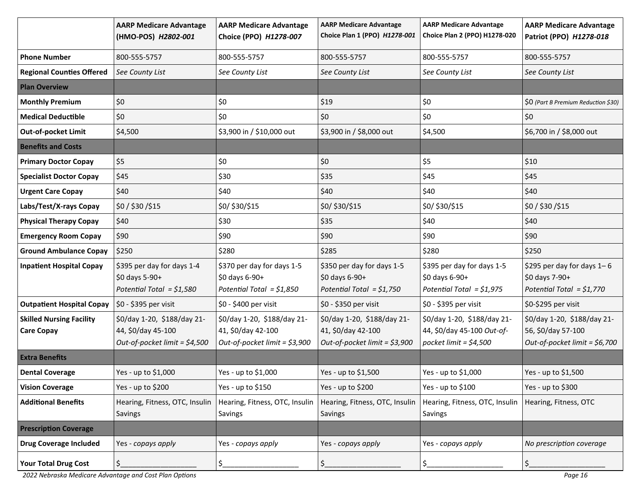|                                                      | <b>AARP Medicare Advantage</b><br>(HMO-POS) H2802-001                               | <b>AARP Medicare Advantage</b><br>Choice (PPO) H1278-007                           | <b>AARP Medicare Advantage</b><br>Choice Plan 1 (PPO) H1278-001                     | <b>AARP Medicare Advantage</b><br>Choice Plan 2 (PPO) H1278-020                      | <b>AARP Medicare Advantage</b><br>Patriot (PPO) H1278-018                           |
|------------------------------------------------------|-------------------------------------------------------------------------------------|------------------------------------------------------------------------------------|-------------------------------------------------------------------------------------|--------------------------------------------------------------------------------------|-------------------------------------------------------------------------------------|
| <b>Phone Number</b>                                  | 800-555-5757                                                                        | 800-555-5757                                                                       | 800-555-5757                                                                        | 800-555-5757                                                                         | 800-555-5757                                                                        |
| <b>Regional Counties Offered</b>                     | See County List                                                                     | See County List                                                                    | See County List                                                                     | See County List                                                                      | See County List                                                                     |
| <b>Plan Overview</b>                                 |                                                                                     |                                                                                    |                                                                                     |                                                                                      |                                                                                     |
| <b>Monthly Premium</b>                               | \$0                                                                                 | \$0                                                                                | \$19                                                                                | \$0                                                                                  | \$0 (Part B Premium Reduction \$30)                                                 |
| <b>Medical Deductible</b>                            | \$0                                                                                 | \$0                                                                                | \$0                                                                                 | \$0                                                                                  | \$0                                                                                 |
| <b>Out-of-pocket Limit</b>                           | \$4,500                                                                             | \$3,900 in / \$10,000 out                                                          | \$3,900 in / \$8,000 out                                                            | \$4,500                                                                              | \$6,700 in / \$8,000 out                                                            |
| <b>Benefits and Costs</b>                            |                                                                                     |                                                                                    |                                                                                     |                                                                                      |                                                                                     |
| <b>Primary Doctor Copay</b>                          | \$5                                                                                 | \$0                                                                                | $$0$$                                                                               | \$5                                                                                  | \$10                                                                                |
| <b>Specialist Doctor Copay</b>                       | \$45                                                                                | \$30                                                                               | \$35                                                                                | \$45                                                                                 | \$45                                                                                |
| <b>Urgent Care Copay</b>                             | \$40                                                                                | \$40                                                                               | \$40                                                                                | \$40                                                                                 | \$40                                                                                |
| Labs/Test/X-rays Copay                               | $$0/$ \$30/\$15                                                                     | \$0/\$30/\$15                                                                      | \$0/ \$30/\$15                                                                      | \$0/\$30/\$15                                                                        | $$0/$ \$30/\$15                                                                     |
| <b>Physical Therapy Copay</b>                        | \$40                                                                                | \$30                                                                               | \$35                                                                                | \$40                                                                                 | \$40                                                                                |
| <b>Emergency Room Copay</b>                          | \$90                                                                                | \$90                                                                               | \$90                                                                                | \$90                                                                                 | \$90                                                                                |
| <b>Ground Ambulance Copay</b>                        | \$250                                                                               | \$280                                                                              | \$285                                                                               | \$280                                                                                | \$250                                                                               |
| <b>Inpatient Hospital Copay</b>                      | \$395 per day for days 1-4<br>$$0$ days 5-90+<br>Potential Total = $$1,580$         | \$370 per day for days 1-5<br>\$0 days 6-90+<br>Potential Total = $$1,850$         | \$350 per day for days 1-5<br>$$0$ days 6-90+<br>Potential Total = $$1,750$         | \$395 per day for days 1-5<br>\$0 days 6-90+<br>Potential Total = $$1,975$           | \$295 per day for days $1 - 6$<br>\$0 days 7-90+<br>Potential Total = $$1,770$      |
| <b>Outpatient Hospital Copay</b>                     | \$0 - \$395 per visit                                                               | \$0 - \$400 per visit                                                              | \$0 - \$350 per visit                                                               | \$0 - \$395 per visit                                                                | \$0-\$295 per visit                                                                 |
| <b>Skilled Nursing Facility</b><br><b>Care Copay</b> | \$0/day 1-20, \$188/day 21-<br>44, \$0/day 45-100<br>Out-of-pocket limit = $$4,500$ | \$0/day 1-20, \$188/day 21-<br>41, \$0/day 42-100<br>Out-of-pocket limit = \$3,900 | \$0/day 1-20, \$188/day 21-<br>41, \$0/day 42-100<br>Out-of-pocket limit = $$3,900$ | \$0/day 1-20, \$188/day 21-<br>44, \$0/day 45-100 Out-of-<br>pocket limit = $$4,500$ | \$0/day 1-20, \$188/day 21-<br>56, \$0/day 57-100<br>Out-of-pocket limit = $$6,700$ |
| <b>Extra Benefits</b>                                |                                                                                     |                                                                                    |                                                                                     |                                                                                      |                                                                                     |
| <b>Dental Coverage</b>                               | Yes - up to \$1,000                                                                 | Yes - up to \$1,000                                                                | Yes - up to \$1,500                                                                 | Yes - up to \$1,000                                                                  | Yes - up to \$1,500                                                                 |
| <b>Vision Coverage</b>                               | Yes - up to \$200                                                                   | Yes - up to \$150                                                                  | Yes - up to \$200                                                                   | Yes - up to \$100                                                                    | Yes - up to \$300                                                                   |
| <b>Additional Benefits</b>                           | Hearing, Fitness, OTC, Insulin<br>Savings                                           | Hearing, Fitness, OTC, Insulin<br>Savings                                          | Hearing, Fitness, OTC, Insulin<br>Savings                                           | Hearing, Fitness, OTC, Insulin<br>Savings                                            | Hearing, Fitness, OTC                                                               |
| <b>Prescription Coverage</b>                         |                                                                                     |                                                                                    |                                                                                     |                                                                                      |                                                                                     |
| <b>Drug Coverage Included</b>                        | Yes - copays apply                                                                  | Yes - copays apply                                                                 | Yes - copays apply                                                                  | Yes - copays apply                                                                   | No prescription coverage                                                            |
| <b>Your Total Drug Cost</b>                          | $\zeta$                                                                             | \$                                                                                 | \$                                                                                  | \$                                                                                   | $\zeta$                                                                             |

*2022 Nebraska Medicare Advantage and Cost Plan Options Page 16*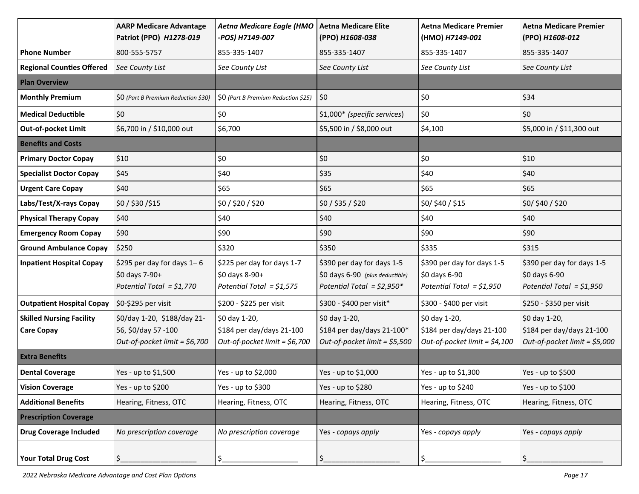|                                                      | <b>AARP Medicare Advantage</b><br>Patriot (PPO) H1278-019                            | Aetna Medicare Eagle (HMO<br>-POS) H7149-007                                 | <b>Aetna Medicare Elite</b><br>(PPO) H1608-038                                               | <b>Aetna Medicare Premier</b><br>(HMO) H7149-001                             | <b>Aetna Medicare Premier</b><br>(PPO) H1608-012                             |
|------------------------------------------------------|--------------------------------------------------------------------------------------|------------------------------------------------------------------------------|----------------------------------------------------------------------------------------------|------------------------------------------------------------------------------|------------------------------------------------------------------------------|
| <b>Phone Number</b>                                  | 800-555-5757                                                                         | 855-335-1407                                                                 | 855-335-1407                                                                                 | 855-335-1407                                                                 | 855-335-1407                                                                 |
| <b>Regional Counties Offered</b>                     | See County List                                                                      | See County List                                                              | See County List                                                                              | See County List                                                              | See County List                                                              |
| <b>Plan Overview</b>                                 |                                                                                      |                                                                              |                                                                                              |                                                                              |                                                                              |
| <b>Monthly Premium</b>                               | \$0 (Part B Premium Reduction \$30)                                                  | \$0 (Part B Premium Reduction \$25)                                          | \$0                                                                                          | \$0                                                                          | \$34                                                                         |
| <b>Medical Deductible</b>                            | \$0                                                                                  | \$0                                                                          | \$1,000* (specific services)                                                                 | \$0                                                                          | \$0                                                                          |
| <b>Out-of-pocket Limit</b>                           | \$6,700 in / \$10,000 out                                                            | \$6,700                                                                      | \$5,500 in / \$8,000 out                                                                     | \$4,100                                                                      | \$5,000 in / \$11,300 out                                                    |
| <b>Benefits and Costs</b>                            |                                                                                      |                                                                              |                                                                                              |                                                                              |                                                                              |
| <b>Primary Doctor Copay</b>                          | \$10                                                                                 | \$0                                                                          | \$0                                                                                          | \$0                                                                          | \$10                                                                         |
| <b>Specialist Doctor Copay</b>                       | \$45                                                                                 | \$40                                                                         | \$35                                                                                         | \$40                                                                         | \$40                                                                         |
| <b>Urgent Care Copay</b>                             | \$40                                                                                 | \$65                                                                         | \$65                                                                                         | \$65                                                                         | \$65                                                                         |
| Labs/Test/X-rays Copay                               | \$0 / \$30 / \$15                                                                    | \$0 / \$20 / \$20                                                            | \$0/\$35/\$20                                                                                | \$0/ \$40 / \$15                                                             | \$0/ \$40 / \$20                                                             |
| <b>Physical Therapy Copay</b>                        | \$40                                                                                 | \$40                                                                         | \$40                                                                                         | \$40                                                                         | \$40                                                                         |
| <b>Emergency Room Copay</b>                          | \$90                                                                                 | \$90                                                                         | \$90                                                                                         | \$90                                                                         | \$90                                                                         |
| <b>Ground Ambulance Copay</b>                        | \$250                                                                                | \$320                                                                        | \$350                                                                                        | \$335                                                                        | \$315                                                                        |
| <b>Inpatient Hospital Copay</b>                      | \$295 per day for days $1 - 6$<br>\$0 days 7-90+<br>Potential Total = $$1,770$       | \$225 per day for days 1-7<br>$$0$ days 8-90+<br>Potential Total = $$1,575$  | \$390 per day for days 1-5<br>\$0 days 6-90 (plus deductible)<br>Potential Total = $$2,950*$ | \$390 per day for days 1-5<br>\$0 days 6-90<br>Potential Total = $$1,950$    | \$390 per day for days 1-5<br>\$0 days 6-90<br>Potential Total = $$1,950$    |
| <b>Outpatient Hospital Copay</b>                     | \$0-\$295 per visit                                                                  | \$200 - \$225 per visit                                                      | \$300 - \$400 per visit*                                                                     | \$300 - \$400 per visit                                                      | \$250 - \$350 per visit                                                      |
| <b>Skilled Nursing Facility</b><br><b>Care Copay</b> | \$0/day 1-20, \$188/day 21-<br>56, \$0/day 57 -100<br>Out-of-pocket limit = $$6,700$ | \$0 day 1-20,<br>\$184 per day/days 21-100<br>Out-of-pocket limit = $$6,700$ | \$0 day 1-20,<br>\$184 per day/days 21-100*<br>Out-of-pocket limit = \$5,500                 | \$0 day 1-20,<br>\$184 per day/days 21-100<br>Out-of-pocket limit = $$4,100$ | \$0 day 1-20,<br>\$184 per day/days 21-100<br>Out-of-pocket limit = $$5,000$ |
| <b>Extra Benefits</b>                                |                                                                                      |                                                                              |                                                                                              |                                                                              |                                                                              |
| <b>Dental Coverage</b>                               | Yes - up to \$1,500                                                                  | Yes - up to \$2,000                                                          | Yes - up to \$1,000                                                                          | Yes - up to \$1,300                                                          | Yes - up to \$500                                                            |
| <b>Vision Coverage</b>                               | Yes - up to \$200                                                                    | Yes - up to \$300                                                            | Yes - up to \$280                                                                            | Yes - up to \$240                                                            | Yes - up to \$100                                                            |
| <b>Additional Benefits</b>                           | Hearing, Fitness, OTC                                                                | Hearing, Fitness, OTC                                                        | Hearing, Fitness, OTC                                                                        | Hearing, Fitness, OTC                                                        | Hearing, Fitness, OTC                                                        |
| <b>Prescription Coverage</b>                         |                                                                                      |                                                                              |                                                                                              |                                                                              |                                                                              |
| <b>Drug Coverage Included</b>                        | No prescription coverage                                                             | No prescription coverage                                                     | Yes - copays apply                                                                           | Yes - copays apply                                                           | Yes - copays apply                                                           |
| <b>Your Total Drug Cost</b>                          | $\zeta$                                                                              |                                                                              |                                                                                              |                                                                              |                                                                              |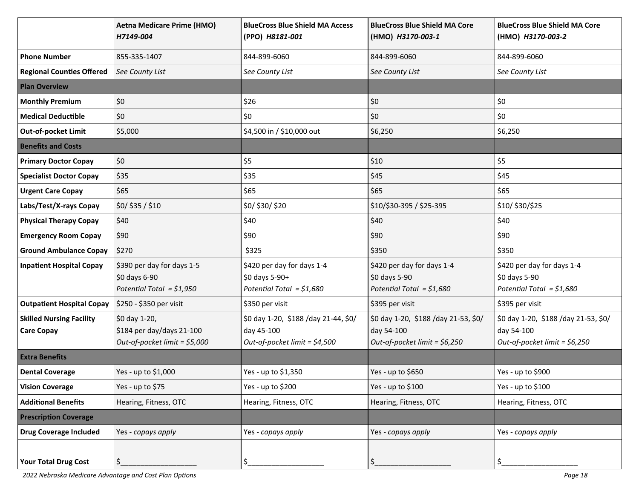|                                                      | <b>Aetna Medicare Prime (HMO)</b><br>H7149-004                               | <b>BlueCross Blue Shield MA Access</b><br>(PPO) H8181-001                            | <b>BlueCross Blue Shield MA Core</b><br>(HMO) H3170-003-1                            | <b>BlueCross Blue Shield MA Core</b><br>(HMO) H3170-003-2                            |
|------------------------------------------------------|------------------------------------------------------------------------------|--------------------------------------------------------------------------------------|--------------------------------------------------------------------------------------|--------------------------------------------------------------------------------------|
| <b>Phone Number</b>                                  | 855-335-1407                                                                 | 844-899-6060                                                                         | 844-899-6060                                                                         | 844-899-6060                                                                         |
| <b>Regional Counties Offered</b>                     | See County List                                                              | See County List                                                                      | See County List                                                                      | See County List                                                                      |
| <b>Plan Overview</b>                                 |                                                                              |                                                                                      |                                                                                      |                                                                                      |
| <b>Monthly Premium</b>                               | \$0                                                                          | \$26                                                                                 | \$0                                                                                  | \$0                                                                                  |
| <b>Medical Deductible</b>                            | \$0                                                                          | \$0                                                                                  | \$0                                                                                  | \$0                                                                                  |
| <b>Out-of-pocket Limit</b>                           | \$5,000                                                                      | \$4,500 in / \$10,000 out                                                            | \$6,250                                                                              | \$6,250                                                                              |
| <b>Benefits and Costs</b>                            |                                                                              |                                                                                      |                                                                                      |                                                                                      |
| <b>Primary Doctor Copay</b>                          | \$0                                                                          | \$5                                                                                  | \$10                                                                                 | \$5                                                                                  |
| <b>Specialist Doctor Copay</b>                       | \$35                                                                         | \$35                                                                                 | \$45                                                                                 | \$45                                                                                 |
| <b>Urgent Care Copay</b>                             | \$65                                                                         | \$65                                                                                 | \$65                                                                                 | \$65                                                                                 |
| Labs/Test/X-rays Copay                               | \$0/ \$35 / \$10                                                             | \$0/ \$30/ \$20                                                                      | \$10/\$30-395 / \$25-395                                                             | \$10/ \$30/\$25                                                                      |
| <b>Physical Therapy Copay</b>                        | \$40                                                                         | \$40                                                                                 | \$40                                                                                 | \$40                                                                                 |
| <b>Emergency Room Copay</b>                          | \$90                                                                         | \$90                                                                                 | \$90                                                                                 | \$90                                                                                 |
| <b>Ground Ambulance Copay</b>                        | \$270                                                                        | \$325                                                                                | \$350                                                                                | \$350                                                                                |
| <b>Inpatient Hospital Copay</b>                      | \$390 per day for days 1-5<br>\$0 days 6-90<br>Potential Total = $$1,950$    | \$420 per day for days 1-4<br>\$0 days 5-90+<br>Potential Total = $$1,680$           | \$420 per day for days 1-4<br>\$0 days 5-90<br>Potential Total = $$1,680$            | \$420 per day for days 1-4<br>\$0 days 5-90<br>Potential Total = $$1,680$            |
| <b>Outpatient Hospital Copay</b>                     | \$250 - \$350 per visit                                                      | \$350 per visit                                                                      | \$395 per visit                                                                      | \$395 per visit                                                                      |
| <b>Skilled Nursing Facility</b><br><b>Care Copay</b> | \$0 day 1-20,<br>\$184 per day/days 21-100<br>Out-of-pocket limit = $$5,000$ | \$0 day 1-20, \$188 /day 21-44, \$0/<br>day 45-100<br>Out-of-pocket limit = $$4,500$ | \$0 day 1-20, \$188 /day 21-53, \$0/<br>day 54-100<br>Out-of-pocket limit = $$6,250$ | \$0 day 1-20, \$188 /day 21-53, \$0/<br>day 54-100<br>Out-of-pocket limit = $$6,250$ |
| <b>Extra Benefits</b>                                |                                                                              |                                                                                      |                                                                                      |                                                                                      |
| <b>Dental Coverage</b>                               | Yes - up to \$1,000                                                          | Yes - up to \$1,350                                                                  | Yes - up to \$650                                                                    | Yes - up to \$900                                                                    |
| <b>Vision Coverage</b>                               | Yes - up to \$75                                                             | Yes - up to \$200                                                                    | Yes - up to \$100                                                                    | Yes - up to \$100                                                                    |
| <b>Additional Benefits</b>                           | Hearing, Fitness, OTC                                                        | Hearing, Fitness, OTC                                                                | Hearing, Fitness, OTC                                                                | Hearing, Fitness, OTC                                                                |
| <b>Prescription Coverage</b>                         |                                                                              |                                                                                      |                                                                                      |                                                                                      |
| <b>Drug Coverage Included</b>                        | Yes - copays apply                                                           | Yes - copays apply                                                                   | Yes - copays apply                                                                   | Yes - copays apply                                                                   |
| <b>Your Total Drug Cost</b>                          | $\frac{1}{2}$                                                                | \$                                                                                   | \$                                                                                   | \$                                                                                   |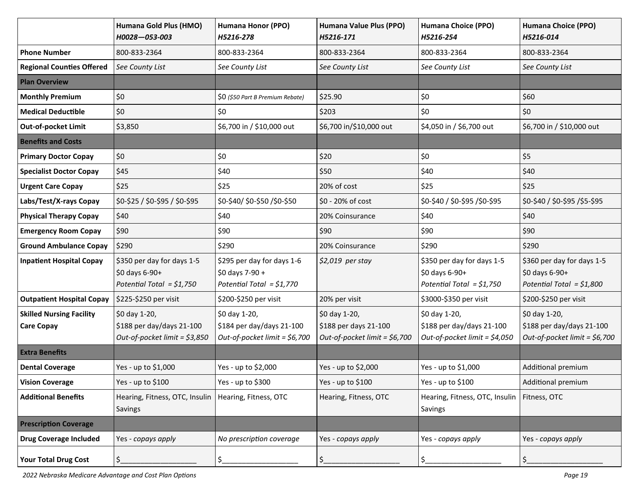|                                                      | Humana Gold Plus (HMO)<br>H0028-053-003                                      | Humana Honor (PPO)<br>H5216-278                                              | Humana Value Plus (PPO)<br>H5216-171                                     | Humana Choice (PPO)<br>H5216-254                                             | <b>Humana Choice (PPO)</b><br>H5216-014                                      |
|------------------------------------------------------|------------------------------------------------------------------------------|------------------------------------------------------------------------------|--------------------------------------------------------------------------|------------------------------------------------------------------------------|------------------------------------------------------------------------------|
| <b>Phone Number</b>                                  | 800-833-2364                                                                 | 800-833-2364                                                                 | 800-833-2364                                                             | 800-833-2364                                                                 | 800-833-2364                                                                 |
| <b>Regional Counties Offered</b>                     | See County List                                                              | See County List                                                              | See County List                                                          | See County List                                                              | See County List                                                              |
| <b>Plan Overview</b>                                 |                                                                              |                                                                              |                                                                          |                                                                              |                                                                              |
| <b>Monthly Premium</b>                               | \$0                                                                          | \$0 (\$50 Part B Premium Rebate)                                             | \$25.90                                                                  | \$0                                                                          | \$60                                                                         |
| <b>Medical Deductible</b>                            | \$0                                                                          | \$0                                                                          | \$203                                                                    | \$0                                                                          | \$0                                                                          |
| <b>Out-of-pocket Limit</b>                           | \$3,850                                                                      | \$6,700 in / \$10,000 out                                                    | \$6,700 in/\$10,000 out                                                  | \$4,050 in / \$6,700 out                                                     | \$6,700 in / \$10,000 out                                                    |
| <b>Benefits and Costs</b>                            |                                                                              |                                                                              |                                                                          |                                                                              |                                                                              |
| <b>Primary Doctor Copay</b>                          | \$0                                                                          | \$0                                                                          | \$20                                                                     | \$0                                                                          | \$5                                                                          |
| <b>Specialist Doctor Copay</b>                       | \$45                                                                         | \$40                                                                         | \$50                                                                     | \$40                                                                         | \$40                                                                         |
| <b>Urgent Care Copay</b>                             | \$25                                                                         | \$25                                                                         | 20% of cost                                                              | \$25                                                                         | \$25                                                                         |
| Labs/Test/X-rays Copay                               | \$0-\$25 / \$0-\$95 / \$0-\$95                                               | \$0-\$40/\$0-\$50/\$0-\$50                                                   | \$0 - 20% of cost                                                        | \$0-\$40 / \$0-\$95 /\$0-\$95                                                | \$0-\$40 / \$0-\$95 /\$5-\$95                                                |
| <b>Physical Therapy Copay</b>                        | \$40                                                                         | \$40                                                                         | 20% Coinsurance                                                          | \$40                                                                         | \$40                                                                         |
| <b>Emergency Room Copay</b>                          | \$90                                                                         | \$90                                                                         | \$90                                                                     | \$90                                                                         | \$90                                                                         |
| <b>Ground Ambulance Copay</b>                        | \$290                                                                        | \$290                                                                        | 20% Coinsurance                                                          | \$290                                                                        | \$290                                                                        |
| <b>Inpatient Hospital Copay</b>                      | \$350 per day for days 1-5<br>\$0 days 6-90+                                 | \$295 per day for days 1-6<br>\$0 days 7-90 +                                | $$2,019$ per stay                                                        | \$350 per day for days 1-5<br>\$0 days 6-90+                                 | \$360 per day for days 1-5<br>\$0 days 6-90+                                 |
|                                                      | Potential Total = $$1,750$                                                   | Potential Total = $$1,770$                                                   |                                                                          | Potential Total = $$1,750$                                                   | Potential Total = $$1,800$                                                   |
| <b>Outpatient Hospital Copay</b>                     | \$225-\$250 per visit                                                        | \$200-\$250 per visit                                                        | 20% per visit                                                            | \$3000-\$350 per visit                                                       | \$200-\$250 per visit                                                        |
| <b>Skilled Nursing Facility</b><br><b>Care Copay</b> | \$0 day 1-20,<br>\$188 per day/days 21-100<br>Out-of-pocket limit = $$3,850$ | \$0 day 1-20,<br>\$184 per day/days 21-100<br>Out-of-pocket limit = $$6,700$ | \$0 day 1-20,<br>\$188 per days 21-100<br>Out-of-pocket limit = $$6,700$ | \$0 day 1-20,<br>\$188 per day/days 21-100<br>Out-of-pocket limit = $$4,050$ | \$0 day 1-20,<br>\$188 per day/days 21-100<br>Out-of-pocket limit = $$6,700$ |
| <b>Extra Benefits</b>                                |                                                                              |                                                                              |                                                                          |                                                                              |                                                                              |
| <b>Dental Coverage</b>                               | Yes - up to \$1,000                                                          | Yes - up to \$2,000                                                          | Yes - up to \$2,000                                                      | Yes - up to \$1,000                                                          | Additional premium                                                           |
| <b>Vision Coverage</b>                               | Yes - up to $$100$                                                           | Yes - up to \$300                                                            | Yes - up to \$100                                                        | Yes - up to \$100                                                            | Additional premium                                                           |
| <b>Additional Benefits</b>                           | Hearing, Fitness, OTC, Insulin<br>Savings                                    | Hearing, Fitness, OTC                                                        | Hearing, Fitness, OTC                                                    | Hearing, Fitness, OTC, Insulin<br>Savings                                    | Fitness, OTC                                                                 |
| <b>Prescription Coverage</b>                         |                                                                              |                                                                              |                                                                          |                                                                              |                                                                              |
| <b>Drug Coverage Included</b>                        | Yes - copays apply                                                           | No prescription coverage                                                     | Yes - copays apply                                                       | Yes - copays apply                                                           | Yes - copays apply                                                           |
| <b>Your Total Drug Cost</b>                          | \$                                                                           | Ś                                                                            |                                                                          | Ś                                                                            |                                                                              |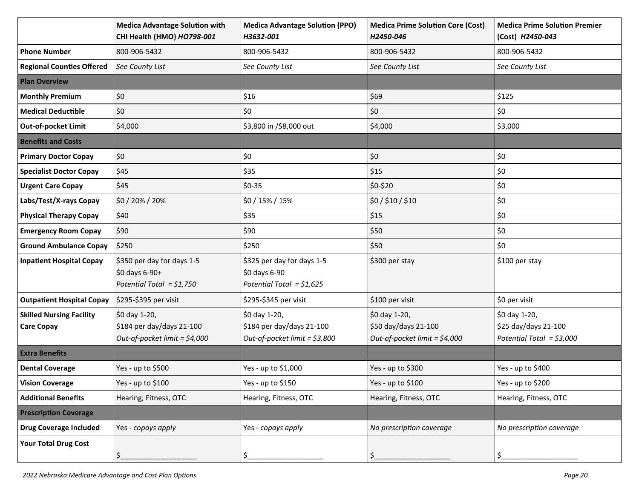|                                                      | <b>Medica Advantage Solution with</b><br>CHI Health (HMO) HO798-001          | <b>Medica Advantage Solution (PPO)</b><br>H3632-001                          | <b>Medica Prime Solution Core (Cost)</b><br>H2450-046                   | <b>Medica Prime Solution Premier</b><br>(Cost) H2450-043            |
|------------------------------------------------------|------------------------------------------------------------------------------|------------------------------------------------------------------------------|-------------------------------------------------------------------------|---------------------------------------------------------------------|
| <b>Phone Number</b>                                  | 800-906-5432                                                                 | 800-906-5432                                                                 | 800-906-5432                                                            | 800-906-5432                                                        |
| <b>Regional Counties Offered</b>                     | See County List                                                              | See County List                                                              | See County List                                                         | See County List                                                     |
| <b>Plan Overview</b>                                 |                                                                              |                                                                              |                                                                         |                                                                     |
| <b>Monthly Premium</b>                               | \$0                                                                          | \$16                                                                         | \$69                                                                    | \$125                                                               |
| <b>Medical Deductible</b>                            | \$0                                                                          | \$0                                                                          | \$0                                                                     | \$0                                                                 |
| <b>Out-of-pocket Limit</b>                           | \$4,000                                                                      | \$3,800 in /\$8,000 out                                                      | \$4,000                                                                 | \$3,000                                                             |
| <b>Benefits and Costs</b>                            |                                                                              |                                                                              |                                                                         |                                                                     |
| <b>Primary Doctor Copay</b>                          | \$0                                                                          | \$0                                                                          | \$0                                                                     | \$0                                                                 |
| <b>Specialist Doctor Copay</b>                       | \$45                                                                         | \$35                                                                         | \$15                                                                    | \$0                                                                 |
| <b>Urgent Care Copay</b>                             | \$45                                                                         | $$0-35$                                                                      | \$0-\$20                                                                | \$0                                                                 |
| Labs/Test/X-rays Copay                               | \$0 / 20% / 20%                                                              | \$0 / 15% / 15%                                                              | \$0/\$10/\$10                                                           | \$0                                                                 |
| <b>Physical Therapy Copay</b>                        | \$40                                                                         | \$35                                                                         | \$15                                                                    | \$0                                                                 |
| <b>Emergency Room Copay</b>                          | \$90                                                                         | \$90                                                                         | \$50                                                                    | \$0                                                                 |
| <b>Ground Ambulance Copay</b>                        | \$250                                                                        | \$250                                                                        | \$50                                                                    | \$0                                                                 |
| <b>Inpatient Hospital Copay</b>                      | \$350 per day for days 1-5<br>\$0 days 6-90+<br>Potential Total = $$1,750$   | \$325 per day for days 1-5<br>\$0 days 6-90<br>Potential Total = $$1,625$    | \$300 per stay                                                          | \$100 per stay                                                      |
| <b>Outpatient Hospital Copay</b>                     | \$295-\$395 per visit                                                        | \$295-\$345 per visit                                                        | \$100 per visit                                                         | \$0 per visit                                                       |
| <b>Skilled Nursing Facility</b><br><b>Care Copay</b> | \$0 day 1-20,<br>\$184 per day/days 21-100<br>Out-of-pocket limit = $$4,000$ | \$0 day 1-20,<br>\$184 per day/days 21-100<br>Out-of-pocket limit = $$3,800$ | \$0 day 1-20,<br>\$50 day/days 21-100<br>Out-of-pocket limit = $$4,000$ | \$0 day 1-20,<br>\$25 day/days 21-100<br>Potential Total = $$3,000$ |
| <b>Extra Benefits</b>                                |                                                                              |                                                                              |                                                                         |                                                                     |
| <b>Dental Coverage</b>                               | Yes - up to \$500                                                            | Yes - up to \$1,000                                                          | Yes - up to \$300                                                       | Yes - up to \$400                                                   |
| <b>Vision Coverage</b>                               | Yes - up to $$100$                                                           | Yes - up to \$150                                                            | Yes - up to \$100                                                       | Yes - up to \$200                                                   |
| <b>Additional Benefits</b>                           | Hearing, Fitness, OTC                                                        | Hearing, Fitness, OTC                                                        | Hearing, Fitness, OTC                                                   | Hearing, Fitness, OTC                                               |
| <b>Prescription Coverage</b>                         |                                                                              |                                                                              |                                                                         |                                                                     |
| <b>Drug Coverage Included</b>                        | Yes - copays apply                                                           | Yes - copays apply                                                           | No prescription coverage                                                | No prescription coverage                                            |
| <b>Your Total Drug Cost</b>                          | \$.                                                                          | \$                                                                           | \$.                                                                     | Ś.                                                                  |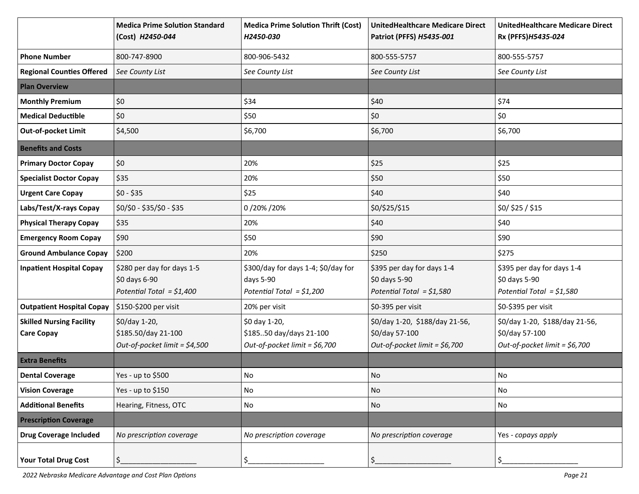|                                                      | <b>Medica Prime Solution Standard</b><br>(Cost) H2450-044                 | <b>Medica Prime Solution Thrift (Cost)</b><br>H2450-030                        | <b>UnitedHealthcare Medicare Direct</b><br>Patriot (PFFS) H5435-001                | UnitedHealthcare Medicare Direct<br>Rx (PFFS) H5435-024                            |
|------------------------------------------------------|---------------------------------------------------------------------------|--------------------------------------------------------------------------------|------------------------------------------------------------------------------------|------------------------------------------------------------------------------------|
| <b>Phone Number</b>                                  | 800-747-8900                                                              | 800-906-5432                                                                   | 800-555-5757                                                                       | 800-555-5757                                                                       |
| <b>Regional Counties Offered</b>                     | See County List                                                           | See County List                                                                | See County List                                                                    | See County List                                                                    |
| <b>Plan Overview</b>                                 |                                                                           |                                                                                |                                                                                    |                                                                                    |
| <b>Monthly Premium</b>                               | \$0                                                                       | \$34                                                                           | \$40                                                                               | \$74                                                                               |
| <b>Medical Deductible</b>                            | \$0                                                                       | \$50                                                                           | \$0                                                                                | \$0                                                                                |
| <b>Out-of-pocket Limit</b>                           | \$4,500                                                                   | \$6,700                                                                        | \$6,700                                                                            | \$6,700                                                                            |
| <b>Benefits and Costs</b>                            |                                                                           |                                                                                |                                                                                    |                                                                                    |
| <b>Primary Doctor Copay</b>                          | \$0                                                                       | 20%                                                                            | \$25                                                                               | \$25                                                                               |
| <b>Specialist Doctor Copay</b>                       | \$35                                                                      | 20%                                                                            | \$50                                                                               | \$50                                                                               |
| <b>Urgent Care Copay</b>                             | $$0 - $35$                                                                | \$25                                                                           | \$40                                                                               | \$40                                                                               |
| Labs/Test/X-rays Copay                               | \$0/\$0 - \$35/\$0 - \$35                                                 | 0/20%/20%                                                                      | \$0/\$25/\$15                                                                      | \$0/ \$25 / \$15                                                                   |
| <b>Physical Therapy Copay</b>                        | \$35                                                                      | 20%                                                                            | \$40                                                                               | \$40                                                                               |
| <b>Emergency Room Copay</b>                          | \$90                                                                      | \$50                                                                           | \$90                                                                               | \$90                                                                               |
| <b>Ground Ambulance Copay</b>                        | \$200                                                                     | 20%                                                                            | \$250                                                                              | \$275                                                                              |
| <b>Inpatient Hospital Copay</b>                      | \$280 per day for days 1-5<br>\$0 days 6-90<br>Potential Total = $$1,400$ | \$300/day for days 1-4; \$0/day for<br>days 5-90<br>Potential Total = $$1,200$ | \$395 per day for days 1-4<br>\$0 days 5-90<br>Potential Total = $$1,580$          | \$395 per day for days 1-4<br>\$0 days 5-90<br>Potential Total = $$1,580$          |
| <b>Outpatient Hospital Copay</b>                     | \$150-\$200 per visit                                                     | 20% per visit                                                                  | \$0-395 per visit                                                                  | \$0-\$395 per visit                                                                |
| <b>Skilled Nursing Facility</b><br><b>Care Copay</b> | \$0/day 1-20,<br>\$185.50/day 21-100<br>Out-of-pocket limit = \$4,500     | \$0 day 1-20,<br>\$185.50 day/days 21-100<br>Out-of-pocket limit = \$6,700     | \$0/day 1-20, \$188/day 21-56,<br>\$0/day 57-100<br>Out-of-pocket limit = $$6,700$ | \$0/day 1-20, \$188/day 21-56,<br>\$0/day 57-100<br>Out-of-pocket limit = $$6,700$ |
| <b>Extra Benefits</b>                                |                                                                           |                                                                                |                                                                                    |                                                                                    |
| <b>Dental Coverage</b>                               | Yes - up to \$500                                                         | No                                                                             | No                                                                                 | No                                                                                 |
| <b>Vision Coverage</b>                               | Yes - up to \$150                                                         | No                                                                             | No                                                                                 | No                                                                                 |
| <b>Additional Benefits</b>                           | Hearing, Fitness, OTC                                                     | No                                                                             | No                                                                                 | No                                                                                 |
| <b>Prescription Coverage</b>                         |                                                                           |                                                                                |                                                                                    |                                                                                    |
| <b>Drug Coverage Included</b>                        | No prescription coverage                                                  | No prescription coverage                                                       | No prescription coverage                                                           | Yes - copays apply                                                                 |
| <b>Your Total Drug Cost</b>                          | \$.                                                                       | \$                                                                             | \$                                                                                 | \$                                                                                 |